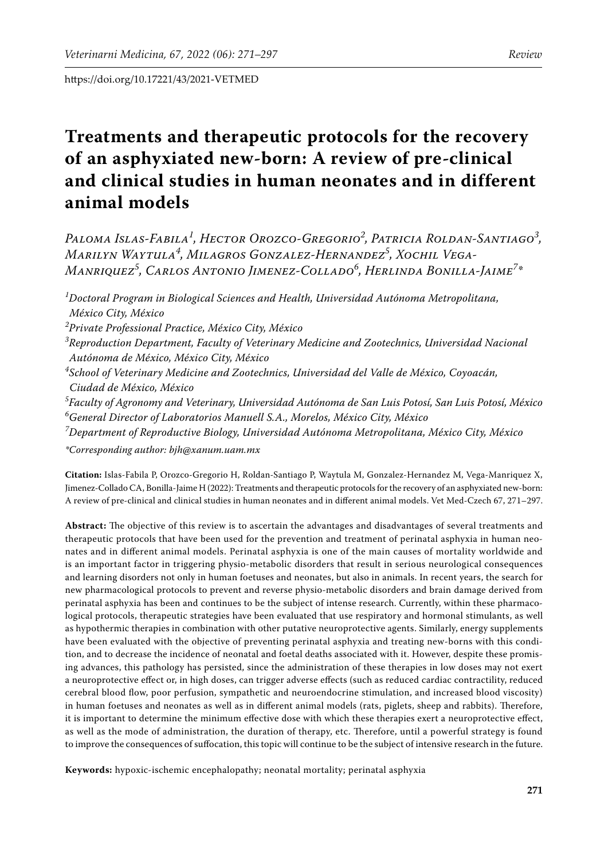# **Treatments and therapeutic protocols for the recovery of an asphyxiated new-born: A review of pre-clinical and clinical studies in human neonates and in different animal models**

*Paloma Islas-Fabila<sup>1</sup> , Hector Orozco-Gregorio<sup>2</sup> , Patricia Roldan-Santiago<sup>3</sup> , Marilyn Waytula<sup>4</sup> , Milagros Gonzalez-Hernandez<sup>5</sup> , Xochil Vega-Manriquez<sup>5</sup> , Carlos Antonio Jimenez-Collado<sup>6</sup> , Herlinda Bonilla-Jaime<sup>7</sup> \**

*1 Doctoral Program in Biological Sciences and Health, Universidad Autónoma Metropolitana, México City, México 2 Private Professional Practice, México City, México 3 Reproduction Department, Faculty of Veterinary Medicine and Zootechnics, Universidad Nacional Autónoma de México, México City, México 4 School of Veterinary Medicine and Zootechnics, Universidad del Valle de México, Coyoacán, Ciudad de México, México*

*5 Faculty of Agronomy and Veterinary, Universidad Autónoma de San Luis Potosí, San Luis Potosí, México 6 General Director of Laboratorios Manuell S.A., Morelos, México City, México*

*7 Department of Reproductive Biology, Universidad Autónoma Metropolitana, México City, México*

*\*Corresponding author: bjh@xanum.uam.mx*

**Citation:** Islas-Fabila P, Orozco-Gregorio H, Roldan-Santiago P, Waytula M, Gonzalez-Hernandez M, Vega-Manriquez X, Jimenez-Collado CA, Bonilla-Jaime H (2022): Treatments and therapeutic protocols for the recovery of an asphyxiated new-born: A review of pre-clinical and clinical studies in human neonates and in different animal models. Vet Med-Czech 67, 271–297.

**Abstract:** The objective of this review is to ascertain the advantages and disadvantages of several treatments and therapeutic protocols that have been used for the prevention and treatment of perinatal asphyxia in human neonates and in different animal models. Perinatal asphyxia is one of the main causes of mortality worldwide and is an important factor in triggering physio-metabolic disorders that result in serious neurological consequences and learning disorders not only in human foetuses and neonates, but also in animals. In recent years, the search for new pharmacological protocols to prevent and reverse physio-metabolic disorders and brain damage derived from perinatal asphyxia has been and continues to be the subject of intense research. Currently, within these pharmacological protocols, therapeutic strategies have been evaluated that use respiratory and hormonal stimulants, as well as hypothermic therapies in combination with other putative neuroprotective agents. Similarly, energy supplements have been evaluated with the objective of preventing perinatal asphyxia and treating new-borns with this condition, and to decrease the incidence of neonatal and foetal deaths associated with it. However, despite these promising advances, this pathology has persisted, since the administration of these therapies in low doses may not exert a neuroprotective effect or, in high doses, can trigger adverse effects (such as reduced cardiac contractility, reduced cerebral blood flow, poor perfusion, sympathetic and neuroendocrine stimulation, and increased blood viscosity) in human foetuses and neonates as well as in different animal models (rats, piglets, sheep and rabbits). Therefore, it is important to determine the minimum effective dose with which these therapies exert a neuroprotective effect, as well as the mode of administration, the duration of therapy, etc. Therefore, until a powerful strategy is found to improve the consequences of suffocation, this topic will continue to be the subject of intensive research in the future.

**Keywords:** hypoxic-ischemic encephalopathy; neonatal mortality; perinatal asphyxia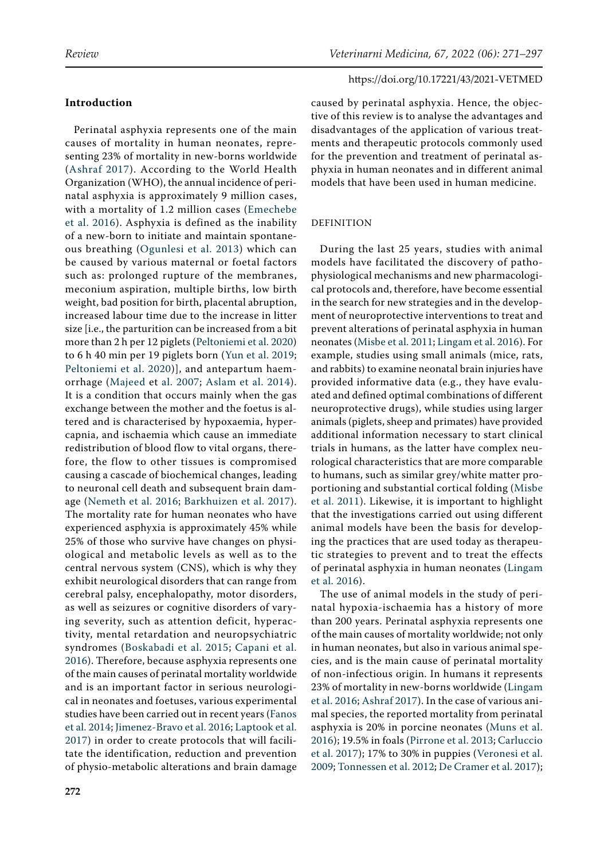Perinatal asphyxia represents one of the main causes of mortality in human neonates, representing 23% of mortality in new-borns worldwide ([Ashraf 2017\)](#page-20-0). According to the World Health Organization (WHO), the annual incidence of perinatal asphyxia is approximately 9 million cases, with a mortality of 1.2 million cases ([Emechebe](#page-21-0)  [et al. 2016](#page-21-0)). Asphyxia is defined as the inability of a new-born to initiate and maintain spontaneous breathing ([Ogunlesi et al. 2013](#page-23-0)) which can be caused by various maternal or foetal factors such as: prolonged rupture of the membranes, meconium aspiration, multiple births, low birth weight, bad position for birth, placental abruption, increased labour time due to the increase in litter size [i.e., the parturition can be increased from a bit more than 2 h per 12 piglets ([Peltoniemi et al. 2020](#page-24-0)) to 6 h 40 min per 19 piglets born ([Yun et al. 2019](#page-26-0); [Peltoniemi et al. 2020\)](#page-24-0)], and antepartum haemorrhage ([Majeed et al. 2007](#page-23-1); [Aslam et al. 2014](#page-20-1)). It is a condition that occurs mainly when the gas exchange between the mother and the foetus is altered and is characterised by hypoxaemia, hypercapnia, and ischaemia which cause an immediate redistribution of blood flow to vital organs, therefore, the flow to other tissues is compromised causing a cascade of biochemical changes, leading to neuronal cell death and subsequent brain damage ([Nemeth et al. 2016;](#page-23-2) [Barkhuizen et al. 2017](#page-20-2)). The mortality rate for human neonates who have experienced asphyxia is approximately 45% while 25% of those who survive have changes on physiological and metabolic levels as well as to the central nervous system (CNS), which is why they exhibit neurological disorders that can range from cerebral palsy, encephalopathy, motor disorders, as well as seizures or cognitive disorders of varying severity, such as attention deficit, hyperactivity, mental retardation and neuropsychiatric syndromes ([Boskabadi et al. 2015](#page-20-3); [Capani et al.](#page-20-4)  [2016\)](#page-20-4). Therefore, because asphyxia represents one of the main causes of perinatal mortality worldwide and is an important factor in serious neurological in neonates and foetuses, various experimental studies have been carried out in recent years [\(Fanos](#page-21-1)  [et al. 2014](#page-21-1); [Jimenez-Bravo et al. 2016;](#page-22-0) [Laptook et al.](#page-22-1)  [2017\)](#page-22-1) in order to create protocols that will facilitate the identification, reduction and prevention of physio-metabolic alterations and brain damage

# https://doi.org/10.17221/43/2021-VETMED

caused by perinatal asphyxia. Hence, the objective of this review is to analyse the advantages and disadvantages of the application of various treatments and therapeutic protocols commonly used for the prevention and treatment of perinatal asphyxia in human neonates and in different animal models that have been used in human medicine.

# DEFINITION

During the last 25 years, studies with animal models have facilitated the discovery of pathophysiological mechanisms and new pharmacological protocols and, therefore, have become essential in the search for new strategies and in the development of neuroprotective interventions to treat and prevent alterations of perinatal asphyxia in human neonates [\(Misbe et al. 2011;](#page-23-3) [Lingam et al. 2016\)](#page-22-2). For example, studies using small animals (mice, rats, and rabbits) to examine neonatal brain injuries have provided informative data (e.g., they have evaluated and defined optimal combinations of different neuroprotective drugs), while studies using larger animals (piglets, sheep and primates) have provided additional information necessary to start clinical trials in humans, as the latter have complex neurological characteristics that are more comparable to humans, such as similar grey/white matter proportioning and substantial cortical folding [\(Misbe](#page-23-3) [et al. 2011](#page-23-3)). Likewise, it is important to highlight that the investigations carried out using different animal models have been the basis for developing the practices that are used today as therapeutic strategies to prevent and to treat the effects of perinatal asphyxia in human neonates ([Lingam](#page-22-2) [et al. 2016](#page-22-2)).

The use of animal models in the study of perinatal hypoxia-ischaemia has a history of more than 200 years. Perinatal asphyxia represents one of the main causes of mortality worldwide; not only in human neonates, but also in various animal species, and is the main cause of perinatal mortality of non-infectious origin. In humans it represents 23% of mortality in new-borns worldwide ([Lingam](#page-22-2) [et al. 2016;](#page-22-2) [Ashraf 2017\)](#page-20-0). In the case of various animal species, the reported mortality from perinatal asphyxia is 20% in porcine neonates ([Muns et al.](#page-23-4) [2016\)](#page-23-4); 19.5% in foals [\(Pirrone et al. 2013](#page-24-1); [Carluccio](#page-20-5) [et al. 2017\)](#page-20-5); 17% to 30% in puppies ([Veronesi et al.](#page-25-0) [2009](#page-25-0); [Tonnessen et al. 2012](#page-25-1); [De Cramer et al. 2017\)](#page-21-2);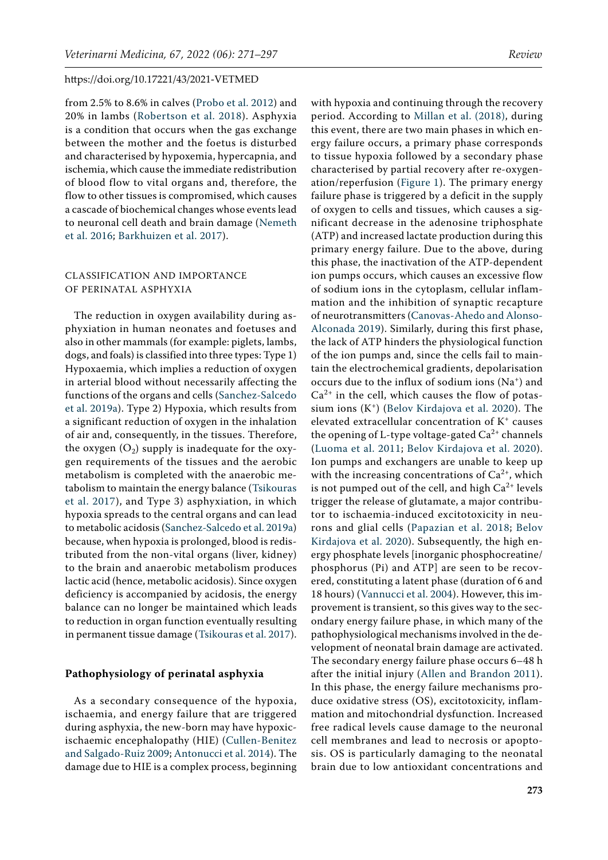from 2.5% to 8.6% in calves ([Probo et al. 2012\)](#page-24-2) and 20% in lambs [\(Robertson et al. 2018\)](#page-24-3). Asphyxia is a condition that occurs when the gas exchange between the mother and the foetus is disturbed and characterised by hypoxemia, hypercapnia, and ischemia, which cause the immediate redistribution of blood flow to vital organs and, therefore, the flow to other tissues is compromised, which causes a cascade of biochemical changes whose events lead to neuronal cell death and brain damage ([Nemeth](#page-23-2)  [et al. 2016;](#page-23-2) [Barkhuizen et al. 2017\)](#page-20-2).

# CLASSIFICATION AND IMPORTANCE OF PERINATAL ASPHYXIA

The reduction in oxygen availability during asphyxiation in human neonates and foetuses and also in other mammals (for example: piglets, lambs, dogs, and foals) is classified into three types: Type 1) Hypoxaemia, which implies a reduction of oxygen in arterial blood without necessarily affecting the functions of the organs and cells [\(Sanchez-Salcedo](#page-24-4)  [et al. 2019a](#page-24-4)). Type 2) Hypoxia, which results from a significant reduction of oxygen in the inhalation of air and, consequently, in the tissues. Therefore, the oxygen  $(O_2)$  supply is inadequate for the oxygen requirements of the tissues and the aerobic metabolism is completed with the anaerobic metabolism to maintain the energy balance ([Tsikouras](#page-25-2)  [et al. 2017](#page-25-2)), and Type 3) asphyxiation, in which hypoxia spreads to the central organs and can lead to metabolic acidosis ([Sanchez-Salcedo et al. 2019a](#page-24-4)) because, when hypoxia is prolonged, blood is redistributed from the non-vital organs (liver, kidney) to the brain and anaerobic metabolism produces lactic acid (hence, metabolic acidosis). Since oxygen deficiency is accompanied by acidosis, the energy balance can no longer be maintained which leads to reduction in organ function eventually resulting in permanent tissue damage ([Tsikouras et al. 2017\)](#page-25-2).

### **Pathophysiology of perinatal asphyxia**

As a secondary consequence of the hypoxia, ischaemia, and energy failure that are triggered during asphyxia, the new-born may have hypoxicischaemic encephalopathy (HIE) [\(Cullen-Benitez](#page-20-6)  [and Salgado-Ruiz 2009;](#page-20-6) [Antonucci et al. 2014\)](#page-19-0). The damage due to HIE is a complex process, beginning

with hypoxia and continuing through the recovery period. According to [Millan et al. \(2018\),](#page-23-5) during this event, there are two main phases in which energy failure occurs, a primary phase corresponds to tissue hypoxia followed by a secondary phase characterised by partial recovery after re-oxygenation/reperfusion [\(Figure 1](#page-3-0)). The primary energy failure phase is triggered by a deficit in the supply of oxygen to cells and tissues, which causes a significant decrease in the adenosine triphosphate (ATP) and increased lactate production during this primary energy failure. Due to the above, during this phase, the inactivation of the ATP-dependent ion pumps occurs, which causes an excessive flow of sodium ions in the cytoplasm, cellular inflammation and the inhibition of synaptic recapture of neurotransmitters ([Canovas-Ahedo and Alonso-](#page-20-7)[Alconada 2019\)](#page-20-7). Similarly, during this first phase, the lack of ATP hinders the physiological function of the ion pumps and, since the cells fail to maintain the electrochemical gradients, depolarisation occurs due to the influx of sodium ions (Na+) and  $Ca<sup>2+</sup>$  in the cell, which causes the flow of potassium ions  $(K^+)$  ([Belov Kirdajova et al. 2020\)](#page-20-8). The elevated extracellular concentration of K+ causes the opening of L-type voltage-gated  $Ca^{2+}$  channels [\(Luoma et al. 2011;](#page-23-6) [Belov Kirdajova et al. 2020](#page-20-8)). Ion pumps and exchangers are unable to keep up with the increasing concentrations of  $Ca^{2+}$ , which is not pumped out of the cell, and high  $Ca^{2+}$  levels trigger the release of glutamate, a major contributor to ischaemia-induced excitotoxicity in neurons and glial cells ([Papazian et al. 2018](#page-24-5); [Belov](#page-20-8) [Kirdajova et al. 2020\)](#page-20-8). Subsequently, the high energy phosphate levels [inorganic phosphocreatine/ phosphorus (Pi) and ATP] are seen to be recovered, constituting a latent phase (duration of 6 and 18 hours) ([Vannucci et al. 2004](#page-25-3)). However, this improvement is transient, so this gives way to the secondary energy failure phase, in which many of the pathophysiological mechanisms involved in the development of neonatal brain damage are activated. The secondary energy failure phase occurs 6–48 h after the initial injury ([Allen and Brandon 2011](#page-19-1)). In this phase, the energy failure mechanisms produce oxidative stress (OS), excitotoxicity, inflammation and mitochondrial dysfunction. Increased free radical levels cause damage to the neuronal cell membranes and lead to necrosis or apoptosis. OS is particularly damaging to the neonatal brain due to low antioxidant concentrations and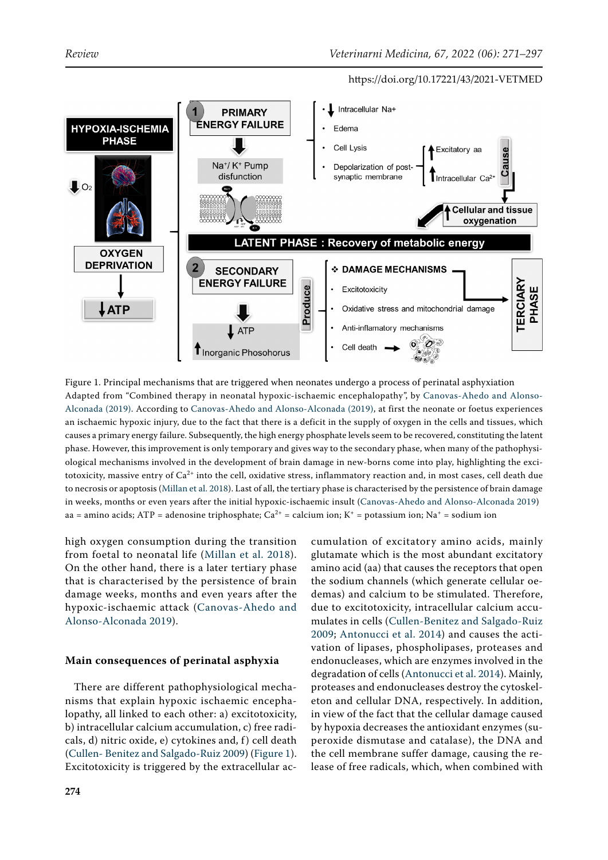<span id="page-3-0"></span>

Figure 1. Principal mechanisms that are triggered when neonates undergo a process of perinatal asphyxiation Adapted from "Combined therapy in neonatal hypoxic-ischaemic encephalopathy", by [Canovas-Ahedo and Alonso-](#page-20-7)[Alconada \(2019\)](#page-20-7). According to [Canovas-Ahedo and Alonso-Alconada \(2019\),](#page-20-7) at first the neonate or foetus experiences an ischaemic hypoxic injury, due to the fact that there is a deficit in the supply of oxygen in the cells and tissues, which causes a primary energy failure. Subsequently, the high energy phosphate levels seem to be recovered, constituting the latent phase. However, this improvement is only temporary and gives way to the secondary phase, when many of the pathophysiological mechanisms involved in the development of brain damage in new-borns come into play, highlighting the excitotoxicity, massive entry of  $Ca^{2+}$  into the cell, oxidative stress, inflammatory reaction and, in most cases, cell death due to necrosis or apoptosis [\(Millan et al. 2018\)](#page-23-5). Last of all, the tertiary phase is characterised by the persistence of brain damage in weeks, months or even years after the initial hypoxic-ischaemic insult ([Canovas-Ahedo and Alonso-Alconada 2019](#page-20-7)) aa = amino acids; ATP = adenosine triphosphate; Ca<sup>2+</sup> = calcium ion; K<sup>+</sup> = potassium ion; Na<sup>+</sup> = sodium ion

high oxygen consumption during the transition from foetal to neonatal life ([Millan et al. 2018](#page-23-5)). On the other hand, there is a later tertiary phase that is characterised by the persistence of brain damage weeks, months and even years after the hypoxic-ischaemic attack ([Canovas-Ahedo and](#page-20-7)  [Alonso-Alconada 2019](#page-20-7)).

# **Main consequences of perinatal asphyxia**

There are different pathophysiological mechanisms that explain hypoxic ischaemic encephalopathy, all linked to each other: a) excitotoxicity, b) intracellular calcium accumulation, c) free radicals, d) nitric oxide, e) cytokines and, f) cell death [\(Cullen- Benitez and Salgado-Ruiz 2009\)](#page-20-6) ([Figure 1\)](#page-3-0). Excitotoxicity is triggered by the extracellular ac-

cumulation of excitatory amino acids, mainly glutamate which is the most abundant excitatory amino acid (aa) that causes the receptors that open the sodium channels (which generate cellular oedemas) and calcium to be stimulated. Therefore, due to excitotoxicity, intracellular calcium accumulates in cells ([Cullen-Benitez and Salgado-Ruiz](#page-20-6) [2009;](#page-20-6) [Antonucci et al. 2014](#page-19-0)) and causes the activation of lipases, phospholipases, proteases and endonucleases, which are enzymes involved in the degradation of cells ([Antonucci et al. 2014](#page-19-0)). Mainly, proteases and endonucleases destroy the cytoskeleton and cellular DNA, respectively. In addition, in view of the fact that the cellular damage caused by hypoxia decreases the antioxidant enzymes (superoxide dismutase and catalase), the DNA and the cell membrane suffer damage, causing the release of free radicals, which, when combined with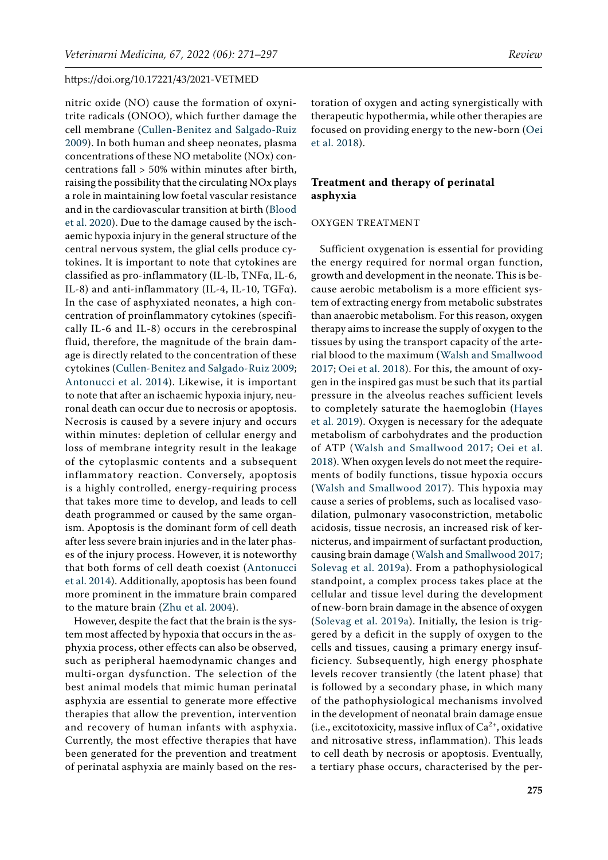nitric oxide (NO) cause the formation of oxynitrite radicals (ONOO), which further damage the cell membrane ([Cullen-Benitez and Salgado-Ruiz](#page-20-6)  [2009\)](#page-20-6). In both human and sheep neonates, plasma concentrations of these NO metabolite (NOx) concentrations fall > 50% within minutes after birth, raising the possibility that the circulating NOx plays a role in maintaining low foetal vascular resistance and in the cardiovascular transition at birth ([Blood](#page-20-9)  [et al. 2020](#page-20-9)). Due to the damage caused by the ischaemic hypoxia injury in the general structure of the central nervous system, the glial cells produce cytokines. It is important to note that cytokines are classified as pro-inflammatory (IL-lb, TNFα, IL-6, IL-8) and anti-inflammatory (IL-4, IL-10, TGF $\alpha$ ). In the case of asphyxiated neonates, a high concentration of proinflammatory cytokines (specifically IL-6 and IL-8) occurs in the cerebrospinal fluid, therefore, the magnitude of the brain damage is directly related to the concentration of these cytokines ([Cullen-Benitez and Salgado-Ruiz 2009](#page-20-6); [Antonucci et al. 2014](#page-19-0)). Likewise, it is important to note that after an ischaemic hypoxia injury, neuronal death can occur due to necrosis or apoptosis. Necrosis is caused by a severe injury and occurs within minutes: depletion of cellular energy and loss of membrane integrity result in the leakage of the cytoplasmic contents and a subsequent inflammatory reaction. Conversely, apoptosis is a highly controlled, energy-requiring process that takes more time to develop, and leads to cell death programmed or caused by the same organism. Apoptosis is the dominant form of cell death after less severe brain injuries and in the later phases of the injury process. However, it is noteworthy that both forms of cell death coexist ([Antonucci](#page-19-0)  [et al. 2014\)](#page-19-0). Additionally, apoptosis has been found more prominent in the immature brain compared to the mature brain ([Zhu et al. 2004](#page-26-1)).

However, despite the fact that the brain is the system most affected by hypoxia that occurs in the asphyxia process, other effects can also be observed, such as peripheral haemodynamic changes and multi-organ dysfunction. The selection of the best animal models that mimic human perinatal asphyxia are essential to generate more effective therapies that allow the prevention, intervention and recovery of human infants with asphyxia. Currently, the most effective therapies that have been generated for the prevention and treatment of perinatal asphyxia are mainly based on the res-

toration of oxygen and acting synergistically with therapeutic hypothermia, while other therapies are focused on providing energy to the new-born ([Oei](#page-23-7) [et al. 2018](#page-23-7)).

# **Treatment and therapy of perinatal asphyxia**

# OXYGEN TREATMENT

Sufficient oxygenation is essential for providing the energy required for normal organ function, growth and development in the neonate. This is because aerobic metabolism is a more efficient system of extracting energy from metabolic substrates than anaerobic metabolism. For this reason, oxygen therapy aims to increase the supply of oxygen to the tissues by using the transport capacity of the arterial blood to the maximum ([Walsh and Smallwood](#page-25-4) [2017;](#page-25-4) [Oei et al. 2018\)](#page-23-7). For this, the amount of oxygen in the inspired gas must be such that its partial pressure in the alveolus reaches sufficient levels to completely saturate the haemoglobin ([Hayes](#page-21-3) [et al. 2019\)](#page-21-3). Oxygen is necessary for the adequate metabolism of carbohydrates and the production of ATP ([Walsh and Smallwood 2017;](#page-25-4) [Oei et al.](#page-23-7) [2018](#page-23-7)). When oxygen levels do not meet the requirements of bodily functions, tissue hypoxia occurs ([Walsh and Smallwood 2017\)](#page-25-4). This hypoxia may cause a series of problems, such as localised vasodilation, pulmonary vasoconstriction, metabolic acidosis, tissue necrosis, an increased risk of kernicterus, and impairment of surfactant production, causing brain damage ([Walsh and Smallwood 2017](#page-25-4); [Solevag et al. 2019a](#page-24-6)). From a pathophysiological standpoint, a complex process takes place at the cellular and tissue level during the development of new-born brain damage in the absence of oxygen [\(Solevag et al. 2019a\)](#page-24-6). Initially, the lesion is triggered by a deficit in the supply of oxygen to the cells and tissues, causing a primary energy insufficiency. Subsequently, high energy phosphate levels recover transiently (the latent phase) that is followed by a secondary phase, in which many of the pathophysiological mechanisms involved in the development of neonatal brain damage ensue (i.e., excitotoxicity, massive influx of  $Ca^{2+}$ , oxidative and nitrosative stress, inflammation). This leads to cell death by necrosis or apoptosis. Eventually, a tertiary phase occurs, characterised by the per-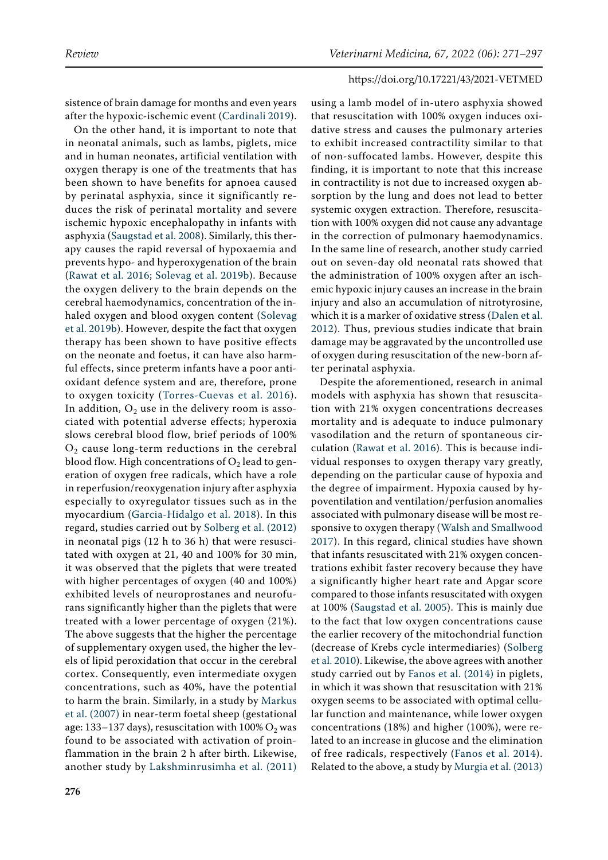sistence of brain damage for months and even years after the hypoxic-ischemic event ([Cardinali 2019\)](#page-20-10).

On the other hand, it is important to note that in neonatal animals, such as lambs, piglets, mice and in human neonates, artificial ventilation with oxygen therapy is one of the treatments that has been shown to have benefits for apnoea caused by perinatal asphyxia, since it significantly reduces the risk of perinatal mortality and severe ischemic hypoxic encephalopathy in infants with asphyxia ([Saugstad et al. 2008\)](#page-24-7). Similarly, this therapy causes the rapid reversal of hypoxaemia and prevents hypo- and hyperoxygenation of the brain [\(Rawat et al. 2016](#page-24-8); [Solevag et al. 2019b](#page-25-5)). Because the oxygen delivery to the brain depends on the cerebral haemodynamics, concentration of the inhaled oxygen and blood oxygen content [\(Solevag](#page-25-5)  [et al. 2019b\)](#page-25-5). However, despite the fact that oxygen therapy has been shown to have positive effects on the neonate and foetus, it can have also harmful effects, since preterm infants have a poor antioxidant defence system and are, therefore, prone to oxygen toxicity ([Torres-Cuevas et al. 2016](#page-25-6)). In addition,  $O_2$  use in the delivery room is associated with potential adverse effects; hyperoxia slows cerebral blood flow, brief periods of 100%  $O<sub>2</sub>$  cause long-term reductions in the cerebral blood flow. High concentrations of  $O_2$  lead to generation of oxygen free radicals, which have a role in reperfusion/reoxygenation injury after asphyxia especially to oxyregulator tissues such as in the myocardium ([Garcia-Hidalgo et al. 2018](#page-21-4)). In this regard, studies carried out by [Solberg et al. \(2012\)](#page-24-9)  in neonatal pigs (12 h to 36 h) that were resuscitated with oxygen at 21, 40 and 100% for 30 min, it was observed that the piglets that were treated with higher percentages of oxygen (40 and 100%) exhibited levels of neuroprostanes and neurofurans significantly higher than the piglets that were treated with a lower percentage of oxygen (21%). The above suggests that the higher the percentage of supplementary oxygen used, the higher the levels of lipid peroxidation that occur in the cerebral cortex. Consequently, even intermediate oxygen concentrations, such as 40%, have the potential to harm the brain. Similarly, in a study by [Markus](#page-23-8)  [et al. \(2007\)](#page-23-8) in near-term foetal sheep (gestational age: 133–137 days), resuscitation with  $100\%$  O<sub>2</sub> was found to be associated with activation of proinflammation in the brain 2 h after birth. Likewise, another study by [Lakshminrusimha et al. \(2011\)](#page-22-3) 

using a lamb model of in-utero asphyxia showed that resuscitation with 100% oxygen induces oxidative stress and causes the pulmonary arteries to exhibit increased contractility similar to that of non-suffocated lambs. However, despite this finding, it is important to note that this increase in contractility is not due to increased oxygen absorption by the lung and does not lead to better systemic oxygen extraction. Therefore, resuscitation with 100% oxygen did not cause any advantage in the correction of pulmonary haemodynamics. In the same line of research, another study carried out on seven-day old neonatal rats showed that the administration of 100% oxygen after an ischemic hypoxic injury causes an increase in the brain injury and also an accumulation of nitrotyrosine, which it is a marker of oxidative stress ([Dalen et al.](#page-21-5) [2012\)](#page-21-5). Thus, previous studies indicate that brain damage may be aggravated by the uncontrolled use of oxygen during resuscitation of the new-born after perinatal asphyxia.

Despite the aforementioned, research in animal models with asphyxia has shown that resuscitation with 21% oxygen concentrations decreases mortality and is adequate to induce pulmonary vasodilation and the return of spontaneous circulation ([Rawat et al. 2016](#page-24-8)). This is because individual responses to oxygen therapy vary greatly, depending on the particular cause of hypoxia and the degree of impairment. Hypoxia caused by hypoventilation and ventilation/perfusion anomalies associated with pulmonary disease will be most responsive to oxygen therapy ([Walsh and Smallwood](#page-25-4) [2017\)](#page-25-4). In this regard, clinical studies have shown that infants resuscitated with 21% oxygen concentrations exhibit faster recovery because they have a significantly higher heart rate and Apgar score compared to those infants resuscitated with oxygen at 100% ([Saugstad et al. 2005\)](#page-24-10). This is mainly due to the fact that low oxygen concentrations cause the earlier recovery of the mitochondrial function (decrease of Krebs cycle intermediaries) ([Solberg](#page-24-11) [et al. 2010\)](#page-24-11). Likewise, the above agrees with another study carried out by [Fanos et al. \(2014\)](#page-21-1) in piglets, in which it was shown that resuscitation with 21% oxygen seems to be associated with optimal cellular function and maintenance, while lower oxygen concentrations (18%) and higher (100%), were related to an increase in glucose and the elimination of free radicals, respectively ([Fanos et al. 2014](#page-21-1)). Related to the above, a study by [Murgia et al. \(2013\)](#page-23-9)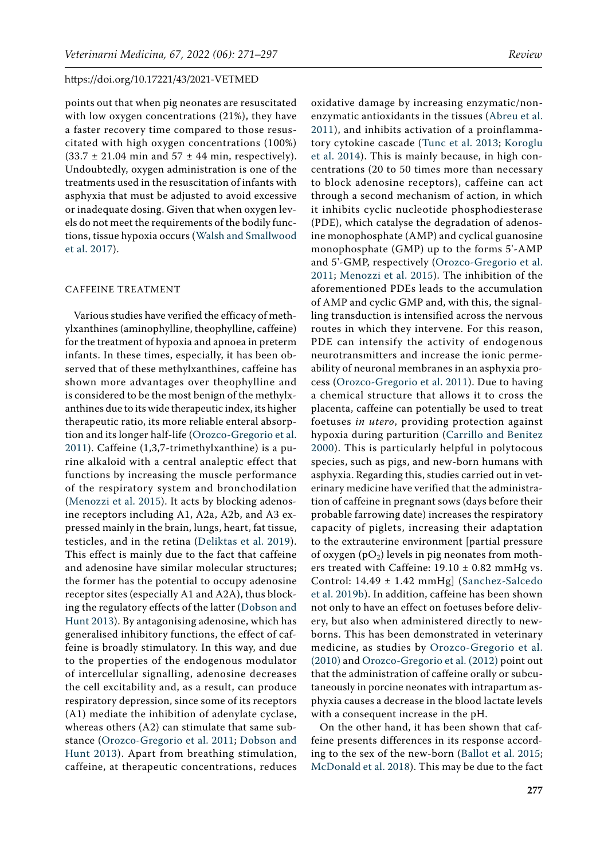points out that when pig neonates are resuscitated with low oxygen concentrations (21%), they have a faster recovery time compared to those resuscitated with high oxygen concentrations (100%)  $(33.7 \pm 21.04 \text{ min and } 57 \pm 44 \text{ min, respectively}).$ Undoubtedly, oxygen administration is one of the treatments used in the resuscitation of infants with asphyxia that must be adjusted to avoid excessive or inadequate dosing. Given that when oxygen levels do not meet the requirements of the bodily functions, tissue hypoxia occurs ([Walsh and Smallwood](#page-25-4)  [et al. 2017\)](#page-25-4).

#### CAFFEINE TREATMENT

Various studies have verified the efficacy of methylxanthines (aminophylline, theophylline, caffeine) for the treatment of hypoxia and apnoea in preterm infants. In these times, especially, it has been observed that of these methylxanthines, caffeine has shown more advantages over theophylline and is considered to be the most benign of the methylxanthines due to its wide therapeutic index, its higher therapeutic ratio, its more reliable enteral absorption and its longer half-life ([Orozco-Gregorio et al.](#page-23-10)  [2011\)](#page-23-10). Caffeine (1,3,7-trimethylxanthine) is a purine alkaloid with a central analeptic effect that functions by increasing the muscle performance of the respiratory system and bronchodilation [\(Menozzi et al. 2015\)](#page-23-11). It acts by blocking adenosine receptors including A1, A2a, A2b, and A3 expressed mainly in the brain, lungs, heart, fat tissue, testicles, and in the retina ([Deliktas et al. 2019](#page-21-6)). This effect is mainly due to the fact that caffeine and adenosine have similar molecular structures; the former has the potential to occupy adenosine receptor sites (especially A1 and A2A), thus blocking the regulatory effects of the latter ([Dobson and](#page-21-7)  [Hunt 2013\)](#page-21-7). By antagonising adenosine, which has generalised inhibitory functions, the effect of caffeine is broadly stimulatory. In this way, and due to the properties of the endogenous modulator of intercellular signalling, adenosine decreases the cell excitability and, as a result, can produce respiratory depression, since some of its receptors (A1) mediate the inhibition of adenylate cyclase, whereas others (A2) can stimulate that same substance ([Orozco-Gregorio et al. 2011](#page-23-10); [Dobson and](#page-21-7)  [Hunt 2013\)](#page-21-7). Apart from breathing stimulation, caffeine, at therapeutic concentrations, reduces

oxidative damage by increasing enzymatic/nonenzymatic antioxidants in the tissues ([Abreu et al.](#page-19-2) [2011](#page-19-2)), and inhibits activation of a proinflammatory cytokine cascade ([Tunc et al. 2013](#page-25-7); [Koroglu](#page-22-4) [et al. 2014\)](#page-22-4). This is mainly because, in high concentrations (20 to 50 times more than necessary to block adenosine receptors), caffeine can act through a second mechanism of action, in which it inhibits cyclic nucleotide phosphodiesterase (PDE), which catalyse the degradation of adenosine monophosphate (AMP) and cyclical guanosine monophosphate (GMP) up to the forms 5'-AMP and 5'-GMP, respectively ([Orozco-Gregorio et al.](#page-23-10) [2011;](#page-23-10) [Menozzi et al. 2015](#page-23-11)). The inhibition of the aforementioned PDEs leads to the accumulation of AMP and cyclic GMP and, with this, the signalling transduction is intensified across the nervous routes in which they intervene. For this reason, PDE can intensify the activity of endogenous neurotransmitters and increase the ionic permeability of neuronal membranes in an asphyxia process ([Orozco-Gregorio et al. 2011](#page-23-10)). Due to having a chemical structure that allows it to cross the placenta, caffeine can potentially be used to treat foetuses *in utero*, providing protection against hypoxia during parturition ([Carrillo and Benitez](#page-20-11) [2000](#page-20-11)). This is particularly helpful in polytocous species, such as pigs, and new-born humans with asphyxia. Regarding this, studies carried out in veterinary medicine have verified that the administration of caffeine in pregnant sows (days before their probable farrowing date) increases the respiratory capacity of piglets, increasing their adaptation to the extrauterine environment [partial pressure of oxygen  $(pO_2)$  levels in pig neonates from mothers treated with Caffeine:  $19.10 \pm 0.82$  mmHg vs. Control: 14.49 ± 1.42 mmHg] ([Sanchez-Salcedo](#page-24-12) [et al. 2019b\)](#page-24-12). In addition, caffeine has been shown not only to have an effect on foetuses before delivery, but also when administered directly to newborns. This has been demonstrated in veterinary medicine, as studies by [Orozco-Gregorio et al.](#page-23-12) [\(2010\) a](#page-23-12)nd [Orozco-Gregorio et al. \(2012\)](#page-24-13) point out that the administration of caffeine orally or subcutaneously in porcine neonates with intrapartum asphyxia causes a decrease in the blood lactate levels with a consequent increase in the pH.

On the other hand, it has been shown that caffeine presents differences in its response according to the sex of the new-born ([Ballot et al. 2015](#page-20-12); [McDonald et al. 2018](#page-23-13)). This may be due to the fact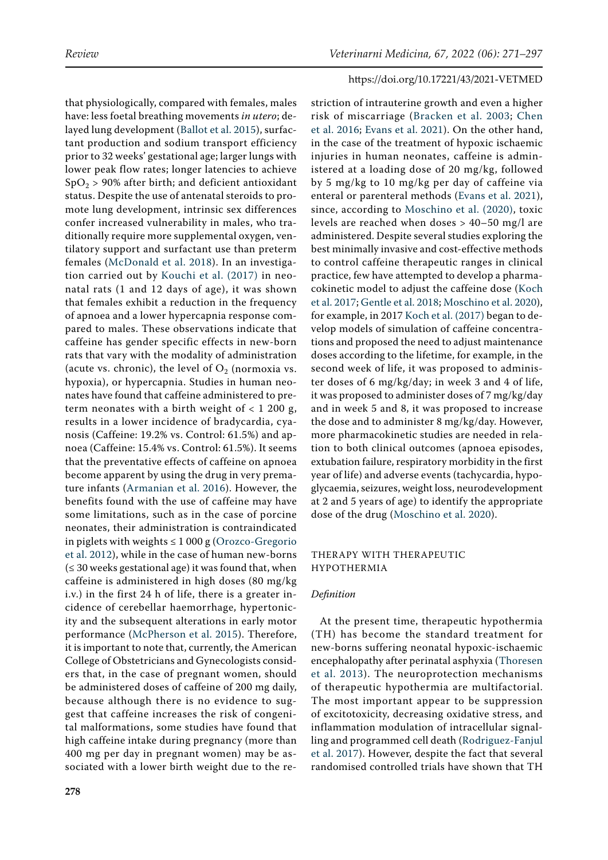that physiologically, compared with females, males have: less foetal breathing movements *in utero*; delayed lung development ([Ballot et al. 2015\)](#page-20-12), surfactant production and sodium transport efficiency prior to 32 weeks' gestational age; larger lungs with lower peak flow rates; longer latencies to achieve  $SpO<sub>2</sub> > 90%$  after birth; and deficient antioxidant status. Despite the use of antenatal steroids to promote lung development, intrinsic sex differences confer increased vulnerability in males, who traditionally require more supplemental oxygen, ventilatory support and surfactant use than preterm females ([McDonald et al. 2018\)](#page-23-13). In an investigation carried out by [Kouchi et al. \(2017\)](#page-22-5) in neonatal rats (1 and 12 days of age), it was shown that females exhibit a reduction in the frequency of apnoea and a lower hypercapnia response compared to males. These observations indicate that caffeine has gender specific effects in new-born rats that vary with the modality of administration (acute vs. chronic), the level of  $O_2$  (normoxia vs. hypoxia), or hypercapnia. Studies in human neonates have found that caffeine administered to preterm neonates with a birth weight of  $< 1200$  g, results in a lower incidence of bradycardia, cyanosis (Caffeine: 19.2% vs. Control: 61.5%) and apnoea (Caffeine: 15.4% vs. Control: 61.5%). It seems that the preventative effects of caffeine on apnoea become apparent by using the drug in very premature infants ([Armanian et al. 2016\)](#page-19-3). However, the benefits found with the use of caffeine may have some limitations, such as in the case of porcine neonates, their administration is contraindicated in piglets with weights  $\leq 1000$  g (Orozco-Gregorio [et al. 2012\)](#page-24-13), while in the case of human new-borns  $(≤ 30 weeks$  gestational age) it was found that, when caffeine is administered in high doses (80 mg/kg i.v.) in the first 24 h of life, there is a greater incidence of cerebellar haemorrhage, hypertonicity and the subsequent alterations in early motor performance ([McPherson et al. 2015](#page-23-14)). Therefore, it is important to note that, currently, the American College of Obstetricians and Gynecologists considers that, in the case of pregnant women, should be administered doses of caffeine of 200 mg daily, because although there is no evidence to suggest that caffeine increases the risk of congenital malformations, some studies have found that high caffeine intake during pregnancy (more than 400 mg per day in pregnant women) may be associated with a lower birth weight due to the restriction of intrauterine growth and even a higher risk of miscarriage ([Bracken et al. 2003;](#page-20-13) [Chen](#page-20-14) [et al. 2016;](#page-20-14) [Evans et al. 2021](#page-21-8)). On the other hand, in the case of the treatment of hypoxic ischaemic injuries in human neonates, caffeine is administered at a loading dose of 20 mg/kg, followed by 5 mg/kg to 10 mg/kg per day of caffeine via enteral or parenteral methods ([Evans et al. 2021](#page-21-8)), since, according to [Moschino et al. \(2020\),](#page-23-15) toxic levels are reached when doses > 40–50 mg/l are administered. Despite several studies exploring the best minimally invasive and cost-effective methods to control caffeine therapeutic ranges in clinical practice, few have attempted to develop a pharmacokinetic model to adjust the caffeine dose ([Koch](#page-22-6) [et al. 2017;](#page-22-6) [Gentle et al. 2018;](#page-21-9) [Moschino et al. 2020\)](#page-23-15), for example, in 2017 [Koch et al. \(2017\) b](#page-22-6)egan to develop models of simulation of caffeine concentrations and proposed the need to adjust maintenance doses according to the lifetime, for example, in the second week of life, it was proposed to administer doses of 6 mg/kg/day; in week 3 and 4 of life, it was proposed to administer doses of 7 mg/kg/day and in week 5 and 8, it was proposed to increase the dose and to administer 8 mg/kg/day. However, more pharmacokinetic studies are needed in relation to both clinical outcomes (apnoea episodes, extubation failure, respiratory morbidity in the first year of life) and adverse events (tachycardia, hypoglycaemia, seizures, weight loss, neurodevelopment at 2 and 5 years of age) to identify the appropriate dose of the drug [\(Moschino et al. 2020\)](#page-23-15).

# THERAPY WITH THERAPEUTIC HYPOTHERMIA

#### *Definition*

At the present time, therapeutic hypothermia (TH) has become the standard treatment for new-borns suffering neonatal hypoxic-ischaemic encephalopathy after perinatal asphyxia ([Thoresen](#page-25-8) [et al. 2013](#page-25-8)). The neuroprotection mechanisms of therapeutic hypothermia are multifactorial. The most important appear to be suppression of excitotoxicity, decreasing oxidative stress, and inflammation modulation of intracellular signalling and programmed cell death ([Rodriguez-Fanjul](#page-24-14) [et al. 2017](#page-24-14)). However, despite the fact that several randomised controlled trials have shown that TH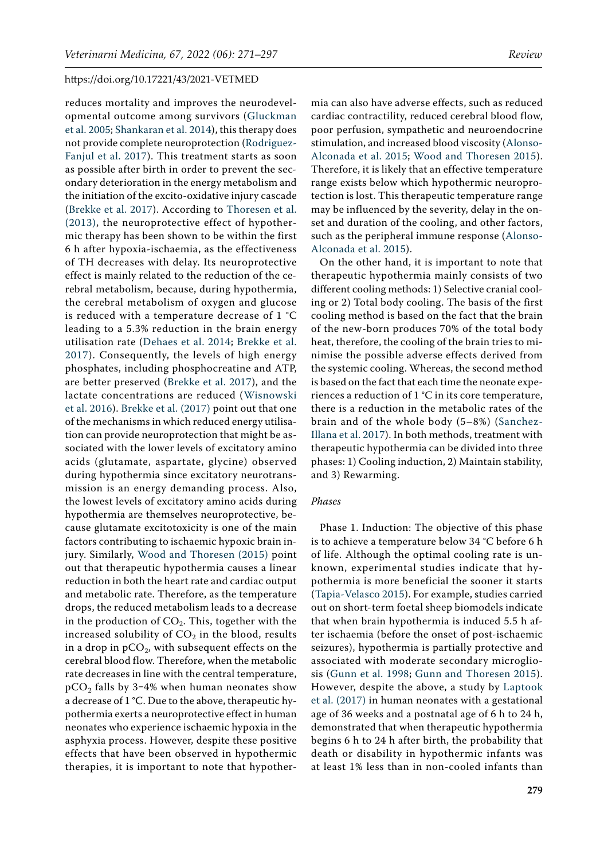reduces mortality and improves the neurodevelopmental outcome among survivors ([Gluckman](#page-21-10)  [et al. 2005](#page-21-10); [Shankaran et al. 2014](#page-24-15)), this therapy does not provide complete neuroprotection [\(Rodriguez-](#page-24-14)[Fanjul et al. 2017](#page-24-14)). This treatment starts as soon as possible after birth in order to prevent the secondary deterioration in the energy metabolism and the initiation of the excito-oxidative injury cascade [\(Brekke et al. 2017](#page-20-15)). According to [Thoresen et al.](#page-25-8)  [\(2013\)](#page-25-8), the neuroprotective effect of hypothermic therapy has been shown to be within the first 6 h after hypoxia-ischaemia, as the effectiveness of TH decreases with delay. Its neuroprotective effect is mainly related to the reduction of the cerebral metabolism, because, during hypothermia, the cerebral metabolism of oxygen and glucose is reduced with a temperature decrease of 1 °C leading to a 5.3% reduction in the brain energy utilisation rate ([Dehaes et al. 2014](#page-21-11); [Brekke et al.](#page-20-15)  [2017\)](#page-20-15). Consequently, the levels of high energy phosphates, including phosphocreatine and ATP, are better preserved ([Brekke et al. 2017\)](#page-20-15), and the lactate concentrations are reduced ([Wisnowski](#page-25-9)  [et al. 2016\)](#page-25-9). [Brekke et al. \(2017\)](#page-20-15) point out that one of the mechanisms in which reduced energy utilisation can provide neuroprotection that might be associated with the lower levels of excitatory amino acids (glutamate, aspartate, glycine) observed during hypothermia since excitatory neurotransmission is an energy demanding process. Also, the lowest levels of excitatory amino acids during hypothermia are themselves neuroprotective, because glutamate excitotoxicity is one of the main factors contributing to ischaemic hypoxic brain injury. Similarly, [Wood and Thoresen \(2015\)](#page-25-10) point out that therapeutic hypothermia causes a linear reduction in both the heart rate and cardiac output and metabolic rate. Therefore, as the temperature drops, the reduced metabolism leads to a decrease in the production of  $CO<sub>2</sub>$ . This, together with the increased solubility of  $CO<sub>2</sub>$  in the blood, results in a drop in  $pCO<sub>2</sub>$ , with subsequent effects on the cerebral blood flow. Therefore, when the metabolic rate decreases in line with the central temperature,  $pCO<sub>2</sub>$  falls by 3-4% when human neonates show a decrease of 1 °C. Due to the above, therapeutic hypothermia exerts a neuroprotective effect in human neonates who experience ischaemic hypoxia in the asphyxia process. However, despite these positive effects that have been observed in hypothermic therapies, it is important to note that hypother-

mia can also have adverse effects, such as reduced cardiac contractility, reduced cerebral blood flow, poor perfusion, sympathetic and neuroendocrine stimulation, and increased blood viscosity ([Alonso-](#page-19-4)[Alconada et al. 2015](#page-19-4); [Wood and Thoresen 2015](#page-25-10)). Therefore, it is likely that an effective temperature range exists below which hypothermic neuroprotection is lost. This therapeutic temperature range may be influenced by the severity, delay in the onset and duration of the cooling, and other factors, such as the peripheral immune response ([Alonso-](#page-19-4)[Alconada et al. 2015](#page-19-4)).

On the other hand, it is important to note that therapeutic hypothermia mainly consists of two different cooling methods: 1) Selective cranial cooling or 2) Total body cooling. The basis of the first cooling method is based on the fact that the brain of the new-born produces 70% of the total body heat, therefore, the cooling of the brain tries to minimise the possible adverse effects derived from the systemic cooling. Whereas, the second method is based on the fact that each time the neonate experiences a reduction of 1 °C in its core temperature, there is a reduction in the metabolic rates of the brain and of the whole body (5–8%) ([Sanchez-](#page-24-16)[Illana et al. 2017](#page-24-16)). In both methods, treatment with therapeutic hypothermia can be divided into three phases: 1) Cooling induction, 2) Maintain stability, and 3) Rewarming.

## *Phases*

Phase 1. Induction: The objective of this phase is to achieve a temperature below 34 °C before 6 h of life. Although the optimal cooling rate is unknown, experimental studies indicate that hypothermia is more beneficial the sooner it starts ([Tapia-Velasco 2015](#page-25-11)). For example, studies carried out on short-term foetal sheep biomodels indicate that when brain hypothermia is induced 5.5 h after ischaemia (before the onset of post-ischaemic seizures), hypothermia is partially protective and associated with moderate secondary microgliosis [\(Gunn et al. 1998;](#page-21-12) [Gunn and Thoresen 2015](#page-21-13)). However, despite the above, a study by [Laptook](#page-22-1) [et al. \(2017\)](#page-22-1) in human neonates with a gestational age of 36 weeks and a postnatal age of 6 h to 24 h, demonstrated that when therapeutic hypothermia begins 6 h to 24 h after birth, the probability that death or disability in hypothermic infants was at least 1% less than in non-cooled infants than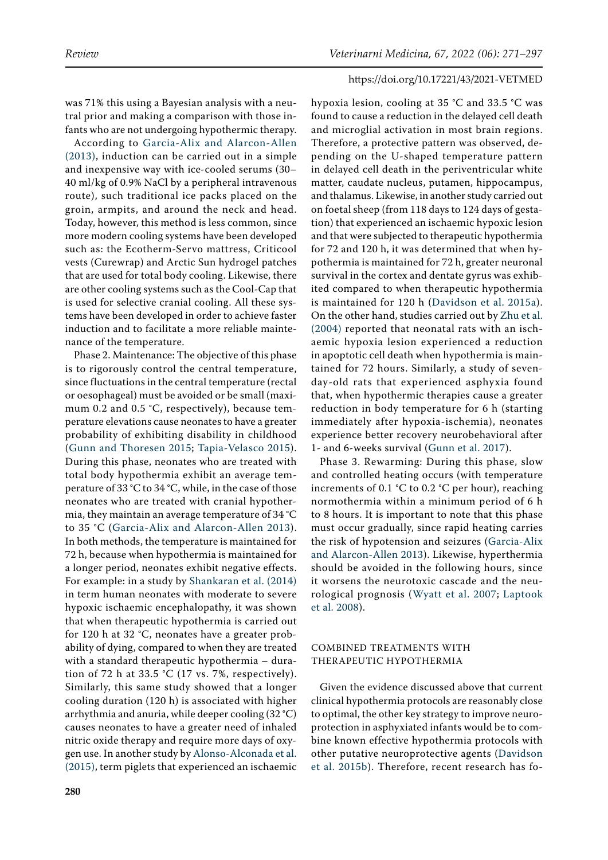was 71% this using a Bayesian analysis with a neutral prior and making a comparison with those infants who are not undergoing hypothermic therapy.

According to [Garcia-Alix and Alarcon-Allen](#page-21-14)  [\(2013\),](#page-21-14) induction can be carried out in a simple and inexpensive way with ice-cooled serums (30– 40 ml/kg of 0.9% NaCl by a peripheral intravenous route), such traditional ice packs placed on the groin, armpits, and around the neck and head. Today, however, this method is less common, since more modern cooling systems have been developed such as: the Ecotherm-Servo mattress, Criticool vests (Curewrap) and Arctic Sun hydrogel patches that are used for total body cooling. Likewise, there are other cooling systems such as the Cool-Cap that is used for selective cranial cooling. All these systems have been developed in order to achieve faster induction and to facilitate a more reliable maintenance of the temperature.

Phase 2. Maintenance: The objective of this phase is to rigorously control the central temperature, since fluctuations in the central temperature (rectal or oesophageal) must be avoided or be small (maximum 0.2 and 0.5 °C, respectively), because temperature elevations cause neonates to have a greater probability of exhibiting disability in childhood ([Gunn and Thoresen 2015;](#page-21-13) [Tapia-Velasco 2015](#page-25-11)). During this phase, neonates who are treated with total body hypothermia exhibit an average temperature of 33 °C to 34 °C, while, in the case of those neonates who are treated with cranial hypothermia, they maintain an average temperature of 34 °C to 35 °C ([Garcia-Alix and Alarcon-Allen 2013](#page-21-14)). In both methods, the temperature is maintained for 72 h, because when hypothermia is maintained for a longer period, neonates exhibit negative effects. For example: in a study by [Shankaran et al. \(2014\)](#page-24-15) in term human neonates with moderate to severe hypoxic ischaemic encephalopathy, it was shown that when therapeutic hypothermia is carried out for 120 h at 32 °C, neonates have a greater probability of dying, compared to when they are treated with a standard therapeutic hypothermia – duration of 72 h at 33.5 °C (17 vs. 7%, respectively). Similarly, this same study showed that a longer cooling duration (120 h) is associated with higher arrhythmia and anuria, while deeper cooling (32 °C) causes neonates to have a greater need of inhaled nitric oxide therapy and require more days of oxygen use. In another study by [Alonso-Alconada et al.](#page-19-4)  [\(2015\)](#page-19-4), term piglets that experienced an ischaemic hypoxia lesion, cooling at 35 °C and 33.5 °C was found to cause a reduction in the delayed cell death and microglial activation in most brain regions. Therefore, a protective pattern was observed, depending on the U-shaped temperature pattern in delayed cell death in the periventricular white matter, caudate nucleus, putamen, hippocampus, and thalamus. Likewise, in another study carried out on foetal sheep (from 118 days to 124 days of gestation) that experienced an ischaemic hypoxic lesion and that were subjected to therapeutic hypothermia for 72 and 120 h, it was determined that when hypothermia is maintained for 72 h, greater neuronal survival in the cortex and dentate gyrus was exhibited compared to when therapeutic hypothermia is maintained for 120 h ([Davidson et al. 2015a](#page-21-15)). On the other hand, studies carried out by [Zhu et al.](#page-26-1) [\(2004\)](#page-26-1) reported that neonatal rats with an ischaemic hypoxia lesion experienced a reduction in apoptotic cell death when hypothermia is maintained for 72 hours. Similarly, a study of sevenday-old rats that experienced asphyxia found that, when hypothermic therapies cause a greater reduction in body temperature for 6 h (starting immediately after hypoxia-ischemia), neonates experience better recovery neurobehavioral after 1- and 6-weeks survival [\(Gunn et al. 2017](#page-21-16)).

Phase 3. Rewarming: During this phase, slow and controlled heating occurs (with temperature increments of 0.1 °C to 0.2 °C per hour), reaching normothermia within a minimum period of 6 h to 8 hours. It is important to note that this phase must occur gradually, since rapid heating carries the risk of hypotension and seizures ([Garcia-Alix](#page-21-14) [and Alarcon-Allen 2013\)](#page-21-14). Likewise, hyperthermia should be avoided in the following hours, since it worsens the neurotoxic cascade and the neurological prognosis ([Wyatt et al. 2007](#page-25-12); [Laptook](#page-22-7) [et al. 2008](#page-22-7)).

# COMBINED TREATMENTS WITH THERAPEUTIC HYPOTHERMIA

Given the evidence discussed above that current clinical hypothermia protocols are reasonably close to optimal, the other key strategy to improve neuroprotection in asphyxiated infants would be to combine known effective hypothermia protocols with other putative neuroprotective agents ([Davidson](#page-21-17) [et al. 2015b\)](#page-21-17). Therefore, recent research has fo-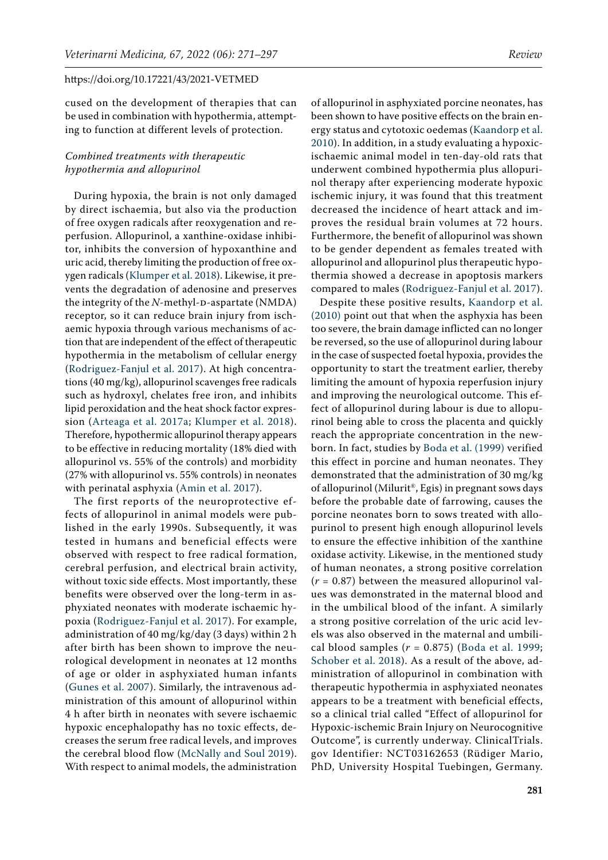cused on the development of therapies that can be used in combination with hypothermia, attempting to function at different levels of protection.

# *Combined treatments with therapeutic hypothermia and allopurinol*

During hypoxia, the brain is not only damaged by direct ischaemia, but also via the production of free oxygen radicals after reoxygenation and reperfusion. Allopurinol, a xanthine-oxidase inhibitor, inhibits the conversion of hypoxanthine and uric acid, thereby limiting the production of free oxygen radicals ([Klumper et al. 2018](#page-22-8)). Likewise, it prevents the degradation of adenosine and preserves the integrity of the *N*-methyl-D-aspartate (NMDA) receptor, so it can reduce brain injury from ischaemic hypoxia through various mechanisms of action that are independent of the effect of therapeutic hypothermia in the metabolism of cellular energy [\(Rodriguez-Fanjul et al. 2017\)](#page-24-14). At high concentrations (40 mg/kg), allopurinol scavenges free radicals such as hydroxyl, chelates free iron, and inhibits lipid peroxidation and the heat shock factor expression [\(Arteaga et al. 2017a;](#page-19-5) [Klumper et al. 2018](#page-22-8)). Therefore, hypothermic allopurinol therapy appears to be effective in reducing mortality (18% died with allopurinol vs. 55% of the controls) and morbidity (27% with allopurinol vs. 55% controls) in neonates with perinatal asphyxia ([Amin et al. 2017](#page-19-6)).

The first reports of the neuroprotective effects of allopurinol in animal models were published in the early 1990s. Subsequently, it was tested in humans and beneficial effects were observed with respect to free radical formation, cerebral perfusion, and electrical brain activity, without toxic side effects. Most importantly, these benefits were observed over the long-term in asphyxiated neonates with moderate ischaemic hypoxia ([Rodriguez-Fanjul et al. 2017](#page-24-14)). For example, administration of 40 mg/kg/day (3 days) within 2 h after birth has been shown to improve the neurological development in neonates at 12 months of age or older in asphyxiated human infants [\(Gunes et al. 2007\)](#page-21-18). Similarly, the intravenous administration of this amount of allopurinol within 4 h after birth in neonates with severe ischaemic hypoxic encephalopathy has no toxic effects, decreases the serum free radical levels, and improves the cerebral blood flow [\(McNally and Soul 2019\)](#page-23-16). With respect to animal models, the administration

of allopurinol in asphyxiated porcine neonates, has been shown to have positive effects on the brain energy status and cytotoxic oedemas ([Kaandorp et al.](#page-22-9) [2010\)](#page-22-9). In addition, in a study evaluating a hypoxicischaemic animal model in ten-day-old rats that underwent combined hypothermia plus allopurinol therapy after experiencing moderate hypoxic ischemic injury, it was found that this treatment decreased the incidence of heart attack and improves the residual brain volumes at 72 hours. Furthermore, the benefit of allopurinol was shown to be gender dependent as females treated with allopurinol and allopurinol plus therapeutic hypothermia showed a decrease in apoptosis markers compared to males [\(Rodriguez-Fanjul et al. 2017](#page-24-14)).

Despite these positive results, [Kaandorp et al.](#page-22-9) [\(2010\)](#page-22-9) point out that when the asphyxia has been too severe, the brain damage inflicted can no longer be reversed, so the use of allopurinol during labour in the case of suspected foetal hypoxia, provides the opportunity to start the treatment earlier, thereby limiting the amount of hypoxia reperfusion injury and improving the neurological outcome. This effect of allopurinol during labour is due to allopurinol being able to cross the placenta and quickly reach the appropriate concentration in the newborn. In fact, studies by [Boda et al. \(1999\)](#page-20-16) verified this effect in porcine and human neonates. They demonstrated that the administration of 30 mg/kg of allopurinol (Milurit®, Egis) in pregnant sows days before the probable date of farrowing, causes the porcine neonates born to sows treated with allopurinol to present high enough allopurinol levels to ensure the effective inhibition of the xanthine oxidase activity. Likewise, in the mentioned study of human neonates, a strong positive correlation (*r* = 0.87) between the measured allopurinol values was demonstrated in the maternal blood and in the umbilical blood of the infant. A similarly a strong positive correlation of the uric acid levels was also observed in the maternal and umbilical blood samples (*r* = 0.875) ([Boda et al. 1999](#page-20-16); [Schober et al. 2018\)](#page-24-17). As a result of the above, administration of allopurinol in combination with therapeutic hypothermia in asphyxiated neonates appears to be a treatment with beneficial effects, so a clinical trial called "Effect of allopurinol for Hypoxic-ischemic Brain Injury on Neurocognitive Outcome", is currently underway. ClinicalTrials. gov Identifier: NCT03162653 (Rüdiger Mario, PhD, University Hospital Tuebingen, Germany.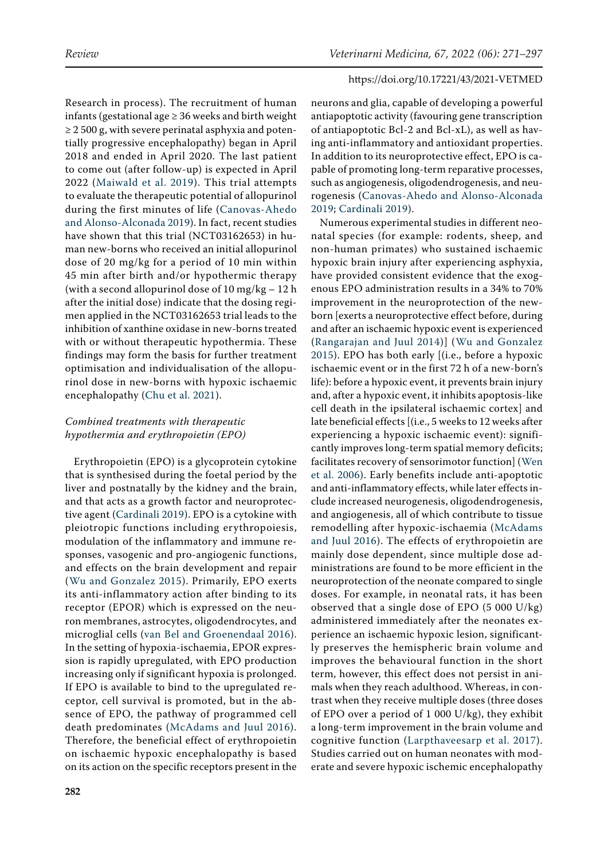Research in process). The recruitment of human infants (gestational age  $\geq$  36 weeks and birth weight  $\geq$  2 500 g, with severe perinatal asphyxia and potentially progressive encephalopathy) began in April 2018 and ended in April 2020. The last patient to come out (after follow-up) is expected in April 2022 ([Maiwald et al. 2019\)](#page-23-17). This trial attempts to evaluate the therapeutic potential of allopurinol during the first minutes of life ([Canovas-Ahedo](#page-20-7)  [and Alonso-Alconada 2019](#page-20-7)). In fact, recent studies have shown that this trial (NCT03162653) in human new-borns who received an initial allopurinol dose of 20 mg/kg for a period of 10 min within 45 min after birth and/or hypothermic therapy (with a second allopurinol dose of 10 mg/kg  $-12$  h after the initial dose) indicate that the dosing regimen applied in the NCT03162653 trial leads to the inhibition of xanthine oxidase in new-borns treated with or without therapeutic hypothermia. These findings may form the basis for further treatment optimisation and individualisation of the allopurinol dose in new-borns with hypoxic ischaemic encephalopathy ([Chu et al. 2021](#page-20-17)).

# *Combined treatments with therapeutic hypothermia and erythropoietin (EPO)*

Erythropoietin (EPO) is a glycoprotein cytokine that is synthesised during the foetal period by the liver and postnatally by the kidney and the brain, and that acts as a growth factor and neuroprotective agent ([Cardinali 2019](#page-20-10)). EPO is a cytokine with pleiotropic functions including erythropoiesis, modulation of the inflammatory and immune responses, vasogenic and pro-angiogenic functions, and effects on the brain development and repair ([Wu and Gonzalez 2015](#page-25-13)). Primarily, EPO exerts its anti-inflammatory action after binding to its receptor (EPOR) which is expressed on the neuron membranes, astrocytes, oligodendrocytes, and microglial cells [\(van Bel and Groenendaal 2016](#page-25-14)). In the setting of hypoxia-ischaemia, EPOR expression is rapidly upregulated, with EPO production increasing only if significant hypoxia is prolonged. If EPO is available to bind to the upregulated receptor, cell survival is promoted, but in the absence of EPO, the pathway of programmed cell death predominates ([McAdams and Juul 2016](#page-23-18)). Therefore, the beneficial effect of erythropoietin on ischaemic hypoxic encephalopathy is based on its action on the specific receptors present in the

neurons and glia, capable of developing a powerful antiapoptotic activity (favouring gene transcription of antiapoptotic Bcl-2 and Bcl-xL), as well as having anti-inflammatory and antioxidant properties. In addition to its neuroprotective effect, EPO is capable of promoting long-term reparative processes, such as angiogenesis, oligodendrogenesis, and neurogenesis ([Canovas-Ahedo and Alonso-Alconada](#page-20-7) [2019;](#page-20-7) [Cardinali 2019](#page-20-10)).

Numerous experimental studies in different neonatal species (for example: rodents, sheep, and non-human primates) who sustained ischaemic hypoxic brain injury after experiencing asphyxia, have provided consistent evidence that the exogenous EPO administration results in a 34% to 70% improvement in the neuroprotection of the newborn [exerts a neuroprotective effect before, during and after an ischaemic hypoxic event is experienced ([Rangarajan and Juul 2014](#page-24-18))] ([Wu and Gonzalez](#page-25-13) [2015\)](#page-25-13). EPO has both early [(i.e., before a hypoxic ischaemic event or in the first 72 h of a new-born's life): before a hypoxic event, it prevents brain injury and, after a hypoxic event, it inhibits apoptosis-like cell death in the ipsilateral ischaemic cortex] and late beneficial effects [(i.e., 5 weeks to 12 weeks after experiencing a hypoxic ischaemic event): significantly improves long-term spatial memory deficits; facilitates recovery of sensorimotor function] ([Wen](#page-25-15) [et al. 2006\)](#page-25-15). Early benefits include anti-apoptotic and anti-inflammatory effects, while later effects include increased neurogenesis, oligodendrogenesis, and angiogenesis, all of which contribute to tissue remodelling after hypoxic-ischaemia ([McAdams](#page-23-18) [and Juul 2016\)](#page-23-18). The effects of erythropoietin are mainly dose dependent, since multiple dose administrations are found to be more efficient in the neuroprotection of the neonate compared to single doses. For example, in neonatal rats, it has been observed that a single dose of EPO (5 000 U/kg) administered immediately after the neonates experience an ischaemic hypoxic lesion, significantly preserves the hemispheric brain volume and improves the behavioural function in the short term, however, this effect does not persist in animals when they reach adulthood. Whereas, in contrast when they receive multiple doses (three doses of EPO over a period of 1 000 U/kg), they exhibit a long-term improvement in the brain volume and cognitive function ([Larpthaveesarp et al. 2017](#page-22-10)). Studies carried out on human neonates with moderate and severe hypoxic ischemic encephalopathy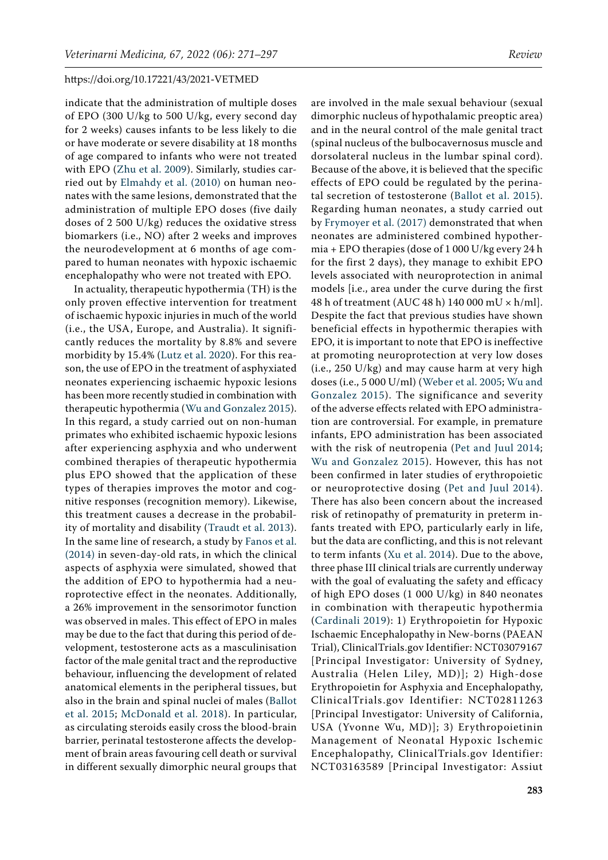indicate that the administration of multiple doses of EPO (300 U/kg to 500 U/kg, every second day for 2 weeks) causes infants to be less likely to die or have moderate or severe disability at 18 months of age compared to infants who were not treated with EPO [\(Zhu et al. 2009\)](#page-26-2). Similarly, studies carried out by [Elmahdy et al. \(2010\)](#page-21-19) on human neonates with the same lesions, demonstrated that the administration of multiple EPO doses (five daily doses of 2 500 U/kg) reduces the oxidative stress biomarkers (i.e., NO) after 2 weeks and improves the neurodevelopment at 6 months of age compared to human neonates with hypoxic ischaemic encephalopathy who were not treated with EPO.

In actuality, therapeutic hypothermia (TH) is the only proven effective intervention for treatment of ischaemic hypoxic injuries in much of the world (i.e., the USA, Europe, and Australia). It significantly reduces the mortality by 8.8% and severe morbidity by 15.4% [\(Lutz et al. 2020\)](#page-23-19). For this reason, the use of EPO in the treatment of asphyxiated neonates experiencing ischaemic hypoxic lesions has been more recently studied in combination with therapeutic hypothermia ([Wu and Gonzalez 2015\)](#page-25-13). In this regard, a study carried out on non-human primates who exhibited ischaemic hypoxic lesions after experiencing asphyxia and who underwent combined therapies of therapeutic hypothermia plus EPO showed that the application of these types of therapies improves the motor and cognitive responses (recognition memory). Likewise, this treatment causes a decrease in the probability of mortality and disability ([Traudt et al. 2013\)](#page-25-16). In the same line of research, a study by [Fanos et al.](#page-21-1)  [\(2014\)](#page-21-1) in seven-day-old rats, in which the clinical aspects of asphyxia were simulated, showed that the addition of EPO to hypothermia had a neuroprotective effect in the neonates. Additionally, a 26% improvement in the sensorimotor function was observed in males. This effect of EPO in males may be due to the fact that during this period of development, testosterone acts as a masculinisation factor of the male genital tract and the reproductive behaviour, influencing the development of related anatomical elements in the peripheral tissues, but also in the brain and spinal nuclei of males ([Ballot](#page-20-12)  [et al. 2015](#page-20-12); [McDonald et al. 2018\)](#page-23-13). In particular, as circulating steroids easily cross the blood-brain barrier, perinatal testosterone affects the development of brain areas favouring cell death or survival in different sexually dimorphic neural groups that

are involved in the male sexual behaviour (sexual dimorphic nucleus of hypothalamic preoptic area) and in the neural control of the male genital tract (spinal nucleus of the bulbocavernosus muscle and dorsolateral nucleus in the lumbar spinal cord). Because of the above, it is believed that the specific effects of EPO could be regulated by the perinatal secretion of testosterone ([Ballot et al. 2015](#page-20-12)). Regarding human neonates, a study carried out by [Frymoyer et al. \(2017\)](#page-21-20) demonstrated that when neonates are administered combined hypothermia + EPO therapies (dose of 1 000 U/kg every 24 h for the first 2 days), they manage to exhibit EPO levels associated with neuroprotection in animal models [i.e., area under the curve during the first 48 h of treatment (AUC 48 h) 140 000 mU × h/ml]. Despite the fact that previous studies have shown beneficial effects in hypothermic therapies with EPO, it is important to note that EPO is ineffective at promoting neuroprotection at very low doses (i.e., 250 U/kg) and may cause harm at very high doses (i.e., 5 000 U/ml) ([Weber et al. 2005;](#page-25-17) [Wu and](#page-25-13) [Gonzalez 2015\)](#page-25-13). The significance and severity of the adverse effects related with EPO administration are controversial. For example, in premature infants, EPO administration has been associated with the risk of neutropenia [\(Pet and Juul 2014](#page-24-19); [Wu and Gonzalez 2015\)](#page-25-13). However, this has not been confirmed in later studies of erythropoietic or neuroprotective dosing ([Pet and Juul 2014](#page-24-19)). There has also been concern about the increased risk of retinopathy of prematurity in preterm infants treated with EPO, particularly early in life, but the data are conflicting, and this is not relevant to term infants ([Xu et al. 2014](#page-25-18)). Due to the above, three phase III clinical trials are currently underway with the goal of evaluating the safety and efficacy of high EPO doses (1 000 U/kg) in 840 neonates in combination with therapeutic hypothermia ([Cardinali 2019\)](#page-20-10): 1) Erythropoietin for Hypoxic Ischaemic Encephalopathy in New-borns (PAEAN Trial), ClinicalTrials.gov Identifier: NCT03079167 [Principal Investigator: University of Sydney, Australia (Helen Liley, MD)]; 2) High-dose Erythropoietin for Asphyxia and Encephalopathy, ClinicalTrials.gov Identifier: NCT02811263 [Principal Investigator: University of California, USA (Yvonne Wu, MD)]; 3) Erythropoietinin Management of Neonatal Hypoxic Ischemic Encephalopathy, ClinicalTrials.gov Identifier: NCT03163589 [Principal Investigator: Assiut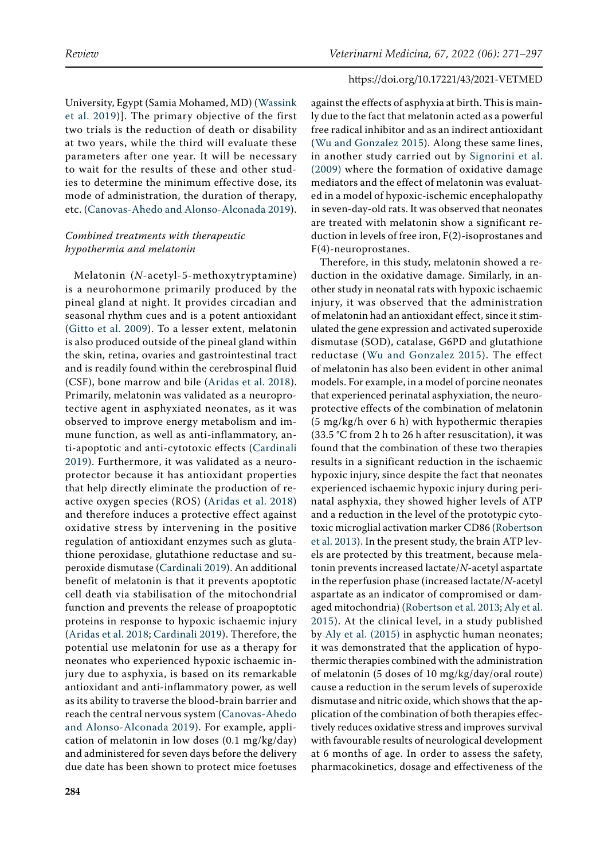University, Egypt (Samia Mohamed, MD) ([Wassink](#page-25-19)  [et al. 2019](#page-25-19))]. The primary objective of the first two trials is the reduction of death or disability at two years, while the third will evaluate these parameters after one year. It will be necessary to wait for the results of these and other studies to determine the minimum effective dose, its mode of administration, the duration of therapy, etc. ([Canovas-Ahedo and Alonso-Alconada 2019\)](#page-20-7).

# *Combined treatments with therapeutic hypothermia and melatonin*

Melatonin (*N*-acetyl-5-methoxytryptamine) is a neurohormone primarily produced by the pineal gland at night. It provides circadian and seasonal rhythm cues and is a potent antioxidant ([Gitto et al. 2009](#page-21-21)). To a lesser extent, melatonin is also produced outside of the pineal gland within the skin, retina, ovaries and gastrointestinal tract and is readily found within the cerebrospinal fluid (CSF), bone marrow and bile ([Aridas et al. 2018\)](#page-19-7). Primarily, melatonin was validated as a neuroprotective agent in asphyxiated neonates, as it was observed to improve energy metabolism and immune function, as well as anti-inflammatory, anti-apoptotic and anti-cytotoxic effects ([Cardinali](#page-20-10)  [2019](#page-20-10)). Furthermore, it was validated as a neuroprotector because it has antioxidant properties that help directly eliminate the production of reactive oxygen species (ROS) ([Aridas et al. 2018](#page-19-7)) and therefore induces a protective effect against oxidative stress by intervening in the positive regulation of antioxidant enzymes such as glutathione peroxidase, glutathione reductase and superoxide dismutase [\(Cardinali 2019\)](#page-20-10). An additional benefit of melatonin is that it prevents apoptotic cell death via stabilisation of the mitochondrial function and prevents the release of proapoptotic proteins in response to hypoxic ischaemic injury [\(Aridas et al. 2018;](#page-19-7) [Cardinali 2019](#page-20-10)). Therefore, the potential use melatonin for use as a therapy for neonates who experienced hypoxic ischaemic injury due to asphyxia, is based on its remarkable antioxidant and anti-inflammatory power, as well as its ability to traverse the blood-brain barrier and reach the central nervous system [\(Canovas-Ahedo](#page-20-7)  [and Alonso-Alconada 2019\)](#page-20-7). For example, application of melatonin in low doses (0.1 mg/kg/day) and administered for seven days before the delivery due date has been shown to protect mice foetuses

against the effects of asphyxia at birth. This is mainly due to the fact that melatonin acted as a powerful free radical inhibitor and as an indirect antioxidant ([Wu and Gonzalez 2015](#page-25-13)). Along these same lines, in another study carried out by [Signorini et al.](#page-24-20) [\(2009\)](#page-24-20) where the formation of oxidative damage mediators and the effect of melatonin was evaluated in a model of hypoxic-ischemic encephalopathy in seven-day-old rats. It was observed that neonates are treated with melatonin show a significant reduction in levels of free iron, F(2)-isoprostanes and F(4)-neuroprostanes.

Therefore, in this study, melatonin showed a reduction in the oxidative damage. Similarly, in another study in neonatal rats with hypoxic ischaemic injury, it was observed that the administration of melatonin had an antioxidant effect, since it stimulated the gene expression and activated superoxide dismutase (SOD), catalase, G6PD and glutathione reductase ([Wu and Gonzalez 2015\)](#page-19-2). The effect of melatonin has also been evident in other animal models. For example, in a model of porcine neonates that experienced perinatal asphyxiation, the neuroprotective effects of the combination of melatonin (5 mg/kg/h over 6 h) with hypothermic therapies (33.5 °C from 2 h to 26 h after resuscitation), it was found that the combination of these two therapies results in a significant reduction in the ischaemic hypoxic injury, since despite the fact that neonates experienced ischaemic hypoxic injury during perinatal asphyxia, they showed higher levels of ATP and a reduction in the level of the prototypic cytotoxic microglial activation marker CD86 [\(Robertson](#page-24-21) [et al. 2013\)](#page-24-21). In the present study, the brain ATP levels are protected by this treatment, because melatonin prevents increased lactate/*N*-acetyl aspartate in the reperfusion phase (increased lactate/*N*-acetyl aspartate as an indicator of compromised or damaged mitochondria) [\(Robertson et al. 2013](#page-24-21); [Aly et al.](#page-19-8) [2015](#page-19-8)). At the clinical level, in a study published by [Aly et al. \(2015\)](#page-19-8) in asphyctic human neonates; it was demonstrated that the application of hypothermic therapies combined with the administration of melatonin (5 doses of 10 mg/kg/day/oral route) cause a reduction in the serum levels of superoxide dismutase and nitric oxide, which shows that the application of the combination of both therapies effectively reduces oxidative stress and improves survival with favourable results of neurological development at 6 months of age. In order to assess the safety, pharmacokinetics, dosage and effectiveness of the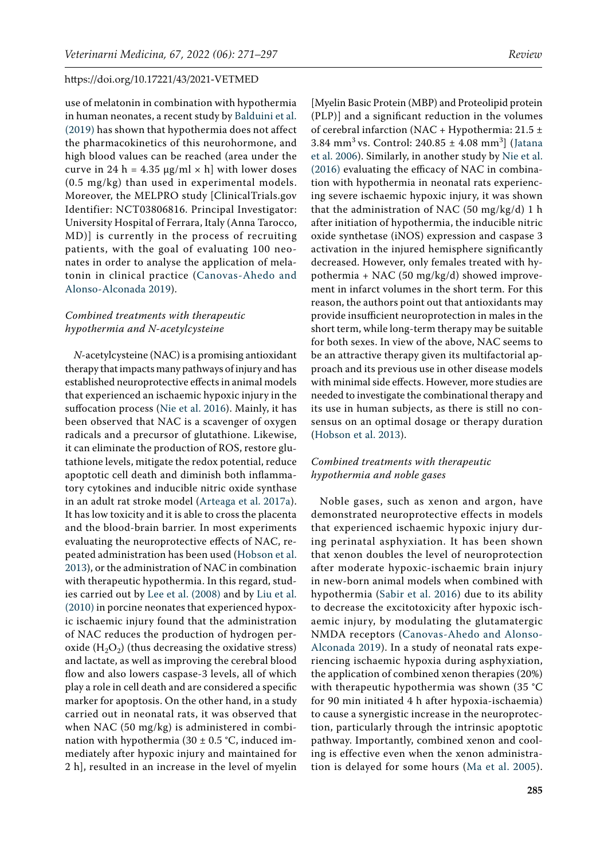use of melatonin in combination with hypothermia in human neonates, a recent study by [Balduini et al.](#page-20-18)  [\(2019\)](#page-20-18) has shown that hypothermia does not affect the pharmacokinetics of this neurohormone, and high blood values can be reached (area under the curve in 24 h = 4.35  $\mu$ g/ml × h] with lower doses (0.5 mg/kg) than used in experimental models. Moreover, the MELPRO study [ClinicalTrials.gov Identifier: NCT03806816. Principal Investigator: University Hospital of Ferrara, Italy (Anna Tarocco, MD)] is currently in the process of recruiting patients, with the goal of evaluating 100 neonates in order to analyse the application of melatonin in clinical practice ([Canovas-Ahedo and](#page-20-7)  [Alonso-Alconada 2019](#page-20-7)).

# *Combined treatments with therapeutic hypothermia and N-acetylcysteine*

*N*-acetylcysteine (NAC) is a promising antioxidant therapy that impacts many pathways of injury and has established neuroprotective effects in animal models that experienced an ischaemic hypoxic injury in the suffocation process ([Nie et al. 2016](#page-23-20)). Mainly, it has been observed that NAC is a scavenger of oxygen radicals and a precursor of glutathione. Likewise, it can eliminate the production of ROS, restore glutathione levels, mitigate the redox potential, reduce apoptotic cell death and diminish both inflammatory cytokines and inducible nitric oxide synthase in an adult rat stroke model [\(Arteaga et al. 2017a\)](#page-19-5). It has low toxicity and it is able to cross the placenta and the blood-brain barrier. In most experiments evaluating the neuroprotective effects of NAC, repeated administration has been used [\(Hobson et al.](#page-22-11)  [2013](#page-22-11)), or the administration of NAC in combination with therapeutic hypothermia. In this regard, studies carried out by [Lee et al. \(2008\)](#page-22-12) and by [Liu et al.](#page-22-13)  [\(2010\)](#page-22-13) in porcine neonates that experienced hypoxic ischaemic injury found that the administration of NAC reduces the production of hydrogen peroxide  $(H_2O_2)$  (thus decreasing the oxidative stress) and lactate, as well as improving the cerebral blood flow and also lowers caspase-3 levels, all of which play a role in cell death and are considered a specific marker for apoptosis. On the other hand, in a study carried out in neonatal rats, it was observed that when NAC (50 mg/kg) is administered in combination with hypothermia (30  $\pm$  0.5 °C, induced immediately after hypoxic injury and maintained for 2 h], resulted in an increase in the level of myelin

[Myelin Basic Protein (MBP) and Proteolipid protein (PLP)] and a significant reduction in the volumes of cerebral infarction (NAC + Hypothermia:  $21.5 \pm$  $3.84 \text{ mm}^3 \text{ vs. Control: } 240.85 \pm 4.08 \text{ mm}^3$  ([Jatana](#page-22-14) [et al. 2006](#page-22-14)). Similarly, in another study by [Nie et al.](#page-23-20) [\(2016\)](#page-23-20) evaluating the efficacy of NAC in combination with hypothermia in neonatal rats experiencing severe ischaemic hypoxic injury, it was shown that the administration of NAC (50 mg/kg/d) 1 h after initiation of hypothermia, the inducible nitric oxide synthetase (iNOS) expression and caspase 3 activation in the injured hemisphere significantly decreased. However, only females treated with hypothermia + NAC (50 mg/kg/d) showed improvement in infarct volumes in the short term. For this reason, the authors point out that antioxidants may provide insufficient neuroprotection in males in the short term, while long-term therapy may be suitable for both sexes. In view of the above, NAC seems to be an attractive therapy given its multifactorial approach and its previous use in other disease models with minimal side effects. However, more studies are needed to investigate the combinational therapy and its use in human subjects, as there is still no consensus on an optimal dosage or therapy duration [\(Hobson et al. 2013](#page-22-11)).

# *Combined treatments with therapeutic hypothermia and noble gases*

Noble gases, such as xenon and argon, have demonstrated neuroprotective effects in models that experienced ischaemic hypoxic injury during perinatal asphyxiation. It has been shown that xenon doubles the level of neuroprotection after moderate hypoxic-ischaemic brain injury in new-born animal models when combined with hypothermia ([Sabir et al. 2016\)](#page-24-22) due to its ability to decrease the excitotoxicity after hypoxic ischaemic injury, by modulating the glutamatergic NMDA receptors ([Canovas-Ahedo and Alonso-](#page-20-7)[Alconada 2019](#page-20-7)). In a study of neonatal rats experiencing ischaemic hypoxia during asphyxiation, the application of combined xenon therapies (20%) with therapeutic hypothermia was shown (35 °C for 90 min initiated 4 h after hypoxia-ischaemia) to cause a synergistic increase in the neuroprotection, particularly through the intrinsic apoptotic pathway. Importantly, combined xenon and cooling is effective even when the xenon administration is delayed for some hours ([Ma et al. 2005](#page-23-21)).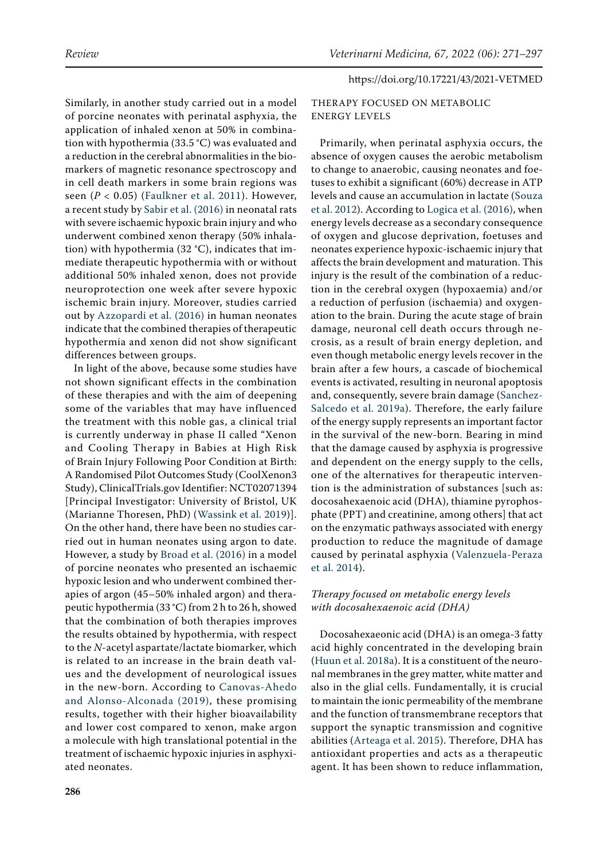Similarly, in another study carried out in a model of porcine neonates with perinatal asphyxia, the application of inhaled xenon at 50% in combination with hypothermia (33.5 °C) was evaluated and a reduction in the cerebral abnormalities in the biomarkers of magnetic resonance spectroscopy and in cell death markers in some brain regions was seen (*P* < 0.05) ([Faulkner et al. 2011\)](#page-21-22). However, a recent study by [Sabir et al. \(2016\)](#page-24-22) in neonatal rats with severe ischaemic hypoxic brain injury and who underwent combined xenon therapy (50% inhalation) with hypothermia (32 °C), indicates that immediate therapeutic hypothermia with or without additional 50% inhaled xenon, does not provide neuroprotection one week after severe hypoxic ischemic brain injury. Moreover, studies carried out by [Azzopardi et al. \(2016\)](#page-20-19) in human neonates indicate that the combined therapies of therapeutic hypothermia and xenon did not show significant differences between groups.

In light of the above, because some studies have not shown significant effects in the combination of these therapies and with the aim of deepening some of the variables that may have influenced the treatment with this noble gas, a clinical trial is currently underway in phase II called "Xenon and Cooling Therapy in Babies at High Risk of Brain Injury Following Poor Condition at Birth: A Randomised Pilot Outcomes Study (CoolXenon3 Study), ClinicalTrials.gov Identifier: NCT02071394 [Principal Investigator: University of Bristol, UK (Marianne Thoresen, PhD) ([Wassink et al. 2019\)](#page-25-19)]. On the other hand, there have been no studies carried out in human neonates using argon to date. However, a study by [Broad et al. \(2016\)](#page-20-20) in a model of porcine neonates who presented an ischaemic hypoxic lesion and who underwent combined therapies of argon (45–50% inhaled argon) and therapeutic hypothermia (33 °C) from 2 h to 26 h, showed that the combination of both therapies improves the results obtained by hypothermia, with respect to the *N*-acetyl aspartate/lactate biomarker, which is related to an increase in the brain death values and the development of neurological issues in the new-born. According to [Canovas-Ahedo](#page-20-7)  [and Alonso-Alconada \(2019\)](#page-20-7), these promising results, together with their higher bioavailability and lower cost compared to xenon, make argon a molecule with high translational potential in the treatment of ischaemic hypoxic injuries in asphyxiated neonates.

# THERAPY FOCUSED ON METABOLIC ENERGY LEVELS

Primarily, when perinatal asphyxia occurs, the absence of oxygen causes the aerobic metabolism to change to anaerobic, causing neonates and foetuses to exhibit a significant (60%) decrease in ATP levels and cause an accumulation in lactate ([Souza](#page-25-20) [et al. 2012\)](#page-25-20). According to [Logica et al. \(2016\),](#page-22-15) when energy levels decrease as a secondary consequence of oxygen and glucose deprivation, foetuses and neonates experience hypoxic-ischaemic injury that affects the brain development and maturation. This injury is the result of the combination of a reduction in the cerebral oxygen (hypoxaemia) and/or a reduction of perfusion (ischaemia) and oxygenation to the brain. During the acute stage of brain damage, neuronal cell death occurs through necrosis, as a result of brain energy depletion, and even though metabolic energy levels recover in the brain after a few hours, a cascade of biochemical events is activated, resulting in neuronal apoptosis and, consequently, severe brain damage ([Sanchez-](#page-24-4)[Salcedo et al. 2019a\)](#page-24-4). Therefore, the early failure of the energy supply represents an important factor in the survival of the new-born. Bearing in mind that the damage caused by asphyxia is progressive and dependent on the energy supply to the cells, one of the alternatives for therapeutic intervention is the administration of substances [such as: docosahexaenoic acid (DHA), thiamine pyrophosphate (PPT) and creatinine, among others] that act on the enzymatic pathways associated with energy production to reduce the magnitude of damage caused by perinatal asphyxia ([Valenzuela-Peraza](#page-25-21) [et al. 2014](#page-25-21)).

# *Therapy focused on metabolic energy levels with docosahexaenoic acid (DHA)*

Docosahexaeonic acid (DHA) is an omega-3 fatty acid highly concentrated in the developing brain [\(Huun et al. 2018a](#page-22-16)). It is a constituent of the neuronal membranes in the grey matter, white matter and also in the glial cells. Fundamentally, it is crucial to maintain the ionic permeability of the membrane and the function of transmembrane receptors that support the synaptic transmission and cognitive abilities ([Arteaga et al. 2015\)](#page-19-9). Therefore, DHA has antioxidant properties and acts as a therapeutic agent. It has been shown to reduce inflammation,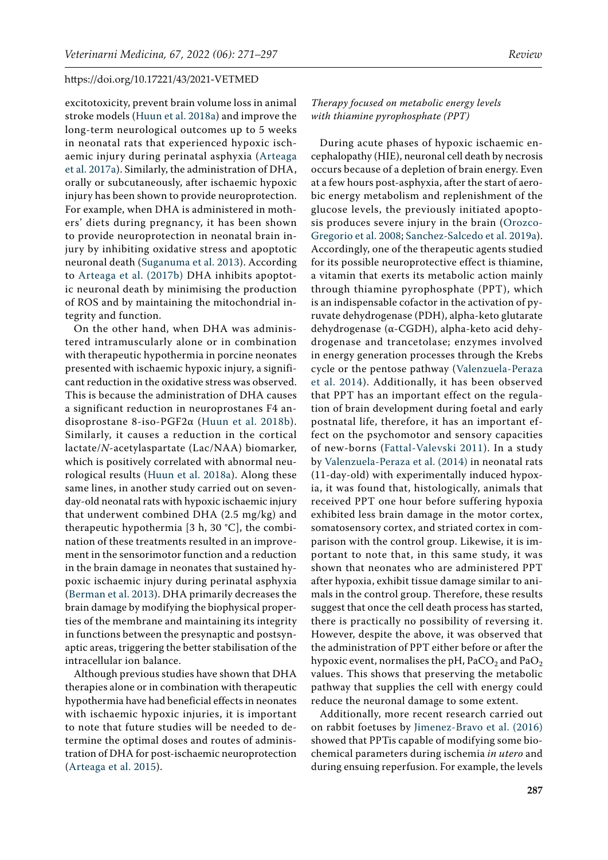excitotoxicity, prevent brain volume loss in animal stroke models ([Huun et al. 2018a](#page-22-16)) and improve the long-term neurological outcomes up to 5 weeks in neonatal rats that experienced hypoxic ischaemic injury during perinatal asphyxia ([Arteaga](#page-19-5)  [et al. 2017a\)](#page-19-5). Similarly, the administration of DHA, orally or subcutaneously, after ischaemic hypoxic injury has been shown to provide neuroprotection. For example, when DHA is administered in mothers' diets during pregnancy, it has been shown to provide neuroprotection in neonatal brain injury by inhibiting oxidative stress and apoptotic neuronal death ([Suganuma et al. 2013\)](#page-25-22). According to [Arteaga et al. \(2017b\) D](#page-20-21)HA inhibits apoptotic neuronal death by minimising the production of ROS and by maintaining the mitochondrial integrity and function.

On the other hand, when DHA was administered intramuscularly alone or in combination with therapeutic hypothermia in porcine neonates presented with ischaemic hypoxic injury, a significant reduction in the oxidative stress was observed. This is because the administration of DHA causes a significant reduction in neuroprostanes F4 andisoprostane 8-iso-PGF2α ([Huun et al. 2018b](#page-22-17)). Similarly, it causes a reduction in the cortical lactate/*N*-acetylaspartate (Lac/NAA) biomarker, which is positively correlated with abnormal neurological results ([Huun et al. 2018a](#page-22-16)). Along these same lines, in another study carried out on sevenday-old neonatal rats with hypoxic ischaemic injury that underwent combined DHA (2.5 mg/kg) and therapeutic hypothermia [3 h, 30 °C], the combination of these treatments resulted in an improvement in the sensorimotor function and a reduction in the brain damage in neonates that sustained hypoxic ischaemic injury during perinatal asphyxia [\(Berman et al. 2013\)](#page-20-22). DHA primarily decreases the brain damage by modifying the biophysical properties of the membrane and maintaining its integrity in functions between the presynaptic and postsynaptic areas, triggering the better stabilisation of the intracellular ion balance.

Although previous studies have shown that DHA therapies alone or in combination with therapeutic hypothermia have had beneficial effects in neonates with ischaemic hypoxic injuries, it is important to note that future studies will be needed to determine the optimal doses and routes of administration of DHA for post-ischaemic neuroprotection [\(Arteaga et al. 2015](#page-19-9)).

*Therapy focused on metabolic energy levels with thiamine pyrophosphate (PPT)*

During acute phases of hypoxic ischaemic encephalopathy (HIE), neuronal cell death by necrosis occurs because of a depletion of brain energy. Even at a few hours post-asphyxia, after the start of aerobic energy metabolism and replenishment of the glucose levels, the previously initiated apoptosis produces severe injury in the brain ([Orozco-](#page-23-22)[Gregorio et al. 2008;](#page-23-22) [Sanchez-Salcedo et al. 2019a](#page-24-4)). Accordingly, one of the therapeutic agents studied for its possible neuroprotective effect is thiamine, a vitamin that exerts its metabolic action mainly through thiamine pyrophosphate (PPT), which is an indispensable cofactor in the activation of pyruvate dehydrogenase (PDH), alpha-keto glutarate dehydrogenase (α-CGDH), alpha-keto acid dehydrogenase and trancetolase; enzymes involved in energy generation processes through the Krebs cycle or the pentose pathway ([Valenzuela-Peraza](#page-25-21) [et al. 2014](#page-25-21)). Additionally, it has been observed that PPT has an important effect on the regulation of brain development during foetal and early postnatal life, therefore, it has an important effect on the psychomotor and sensory capacities of new-borns ([Fattal-Valevski 2011](#page-21-23)). In a study by [Valenzuela-Peraza et al. \(2014\)](#page-25-21) in neonatal rats (11-day-old) with experimentally induced hypoxia, it was found that, histologically, animals that received PPT one hour before suffering hypoxia exhibited less brain damage in the motor cortex, somatosensory cortex, and striated cortex in comparison with the control group. Likewise, it is important to note that, in this same study, it was shown that neonates who are administered PPT after hypoxia, exhibit tissue damage similar to animals in the control group. Therefore, these results suggest that once the cell death process has started, there is practically no possibility of reversing it. However, despite the above, it was observed that the administration of PPT either before or after the hypoxic event, normalises the pH,  $PaCO<sub>2</sub>$  and  $PaO<sub>2</sub>$ values. This shows that preserving the metabolic pathway that supplies the cell with energy could reduce the neuronal damage to some extent.

Additionally, more recent research carried out on rabbit foetuses by [Jimenez-Bravo et al. \(2016\)](#page-22-0) showed that PPTis capable of modifying some biochemical parameters during ischemia *in utero* and during ensuing reperfusion. For example, the levels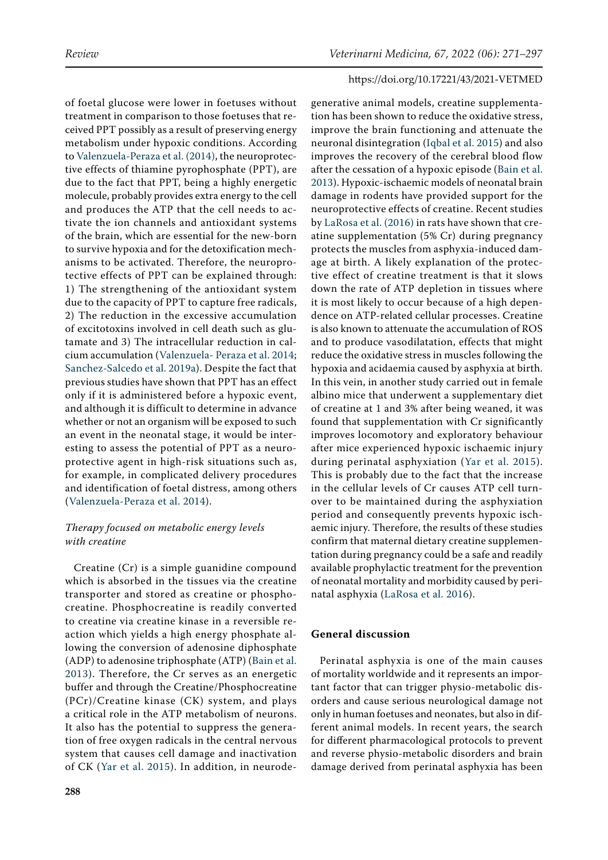of foetal glucose were lower in foetuses without treatment in comparison to those foetuses that received PPT possibly as a result of preserving energy metabolism under hypoxic conditions. According to [Valenzuela-Peraza et al. \(2014\),](#page-25-21) the neuroprotective effects of thiamine pyrophosphate (PPT), are due to the fact that PPT, being a highly energetic molecule, probably provides extra energy to the cell and produces the ATP that the cell needs to activate the ion channels and antioxidant systems of the brain, which are essential for the new-born to survive hypoxia and for the detoxification mechanisms to be activated. Therefore, the neuroprotective effects of PPT can be explained through: 1) The strengthening of the antioxidant system due to the capacity of PPT to capture free radicals, 2) The reduction in the excessive accumulation of excitotoxins involved in cell death such as glutamate and 3) The intracellular reduction in calcium accumulation ([Valenzuela- Peraza et al. 2014](#page-25-21); [Sanchez-Salcedo et al. 2019a\)](#page-24-4). Despite the fact that previous studies have shown that PPT has an effect only if it is administered before a hypoxic event, and although it is difficult to determine in advance whether or not an organism will be exposed to such an event in the neonatal stage, it would be interesting to assess the potential of PPT as a neuroprotective agent in high-risk situations such as, for example, in complicated delivery procedures and identification of foetal distress, among others ([Valenzuela-Peraza et al. 2014](#page-25-21)).

# *Therapy focused on metabolic energy levels with creatine*

Creatine (Cr) is a simple guanidine compound which is absorbed in the tissues via the creatine transporter and stored as creatine or phosphocreatine. Phosphocreatine is readily converted to creatine via creatine kinase in a reversible reaction which yields a high energy phosphate allowing the conversion of adenosine diphosphate (ADP) to adenosine triphosphate (ATP) ([Bain et al.](#page-20-23)  [2013\)](#page-20-23). Therefore, the Cr serves as an energetic buffer and through the Creatine/Phosphocreatine (PCr)/Creatine kinase (CK) system, and plays a critical role in the ATP metabolism of neurons. It also has the potential to suppress the generation of free oxygen radicals in the central nervous system that causes cell damage and inactivation of CK ([Yar et al. 2015\)](#page-25-23). In addition, in neurode-

generative animal models, creatine supplementation has been shown to reduce the oxidative stress, improve the brain functioning and attenuate the neuronal disintegration ([Iqbal et al. 2015\)](#page-22-18) and also improves the recovery of the cerebral blood flow after the cessation of a hypoxic episode ([Bain et al.](#page-20-23) [2013](#page-20-23)). Hypoxic-ischaemic models of neonatal brain damage in rodents have provided support for the neuroprotective effects of creatine. Recent studies by [LaRosa et al. \(2016\) i](#page-22-19)n rats have shown that creatine supplementation (5% Cr) during pregnancy protects the muscles from asphyxia-induced damage at birth. A likely explanation of the protective effect of creatine treatment is that it slows down the rate of ATP depletion in tissues where it is most likely to occur because of a high dependence on ATP-related cellular processes. Creatine is also known to attenuate the accumulation of ROS and to produce vasodilatation, effects that might reduce the oxidative stress in muscles following the hypoxia and acidaemia caused by asphyxia at birth. In this vein, in another study carried out in female albino mice that underwent a supplementary diet of creatine at 1 and 3% after being weaned, it was found that supplementation with Cr significantly improves locomotory and exploratory behaviour after mice experienced hypoxic ischaemic injury during perinatal asphyxiation ([Yar et al. 2015](#page-25-23)). This is probably due to the fact that the increase in the cellular levels of Cr causes ATP cell turnover to be maintained during the asphyxiation period and consequently prevents hypoxic ischaemic injury. Therefore, the results of these studies confirm that maternal dietary creatine supplementation during pregnancy could be a safe and readily available prophylactic treatment for the prevention of neonatal mortality and morbidity caused by perinatal asphyxia [\(LaRosa et al. 2016](#page-22-19)).

# **General discussion**

Perinatal asphyxia is one of the main causes of mortality worldwide and it represents an important factor that can trigger physio-metabolic disorders and cause serious neurological damage not only in human foetuses and neonates, but also in different animal models. In recent years, the search for different pharmacological protocols to prevent and reverse physio-metabolic disorders and brain damage derived from perinatal asphyxia has been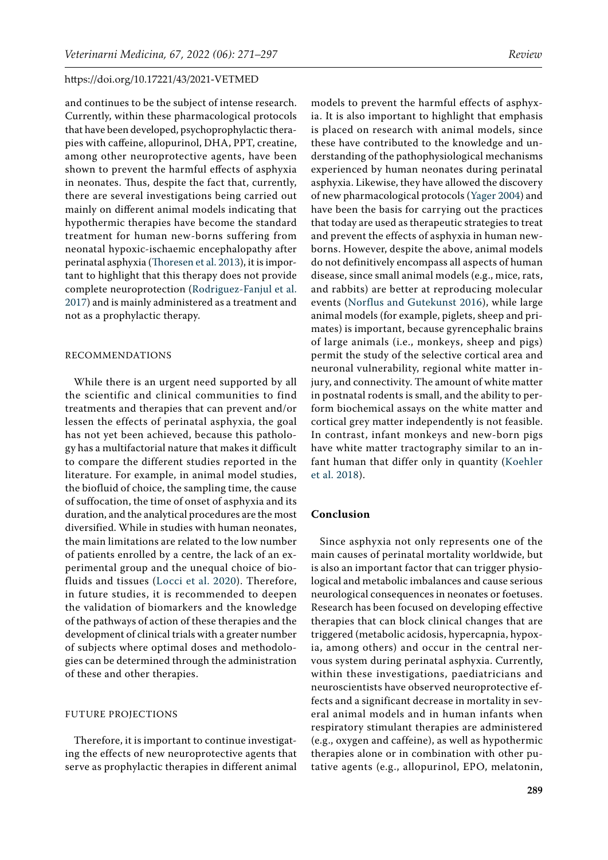and continues to be the subject of intense research. Currently, within these pharmacological protocols that have been developed, psychoprophylactic therapies with caffeine, allopurinol, DHA, PPT, creatine, among other neuroprotective agents, have been shown to prevent the harmful effects of asphyxia in neonates. Thus, despite the fact that, currently, there are several investigations being carried out mainly on different animal models indicating that hypothermic therapies have become the standard treatment for human new-borns suffering from neonatal hypoxic-ischaemic encephalopathy after perinatal asphyxia ([Thoresen et al. 2013](#page-25-8)), it is important to highlight that this therapy does not provide complete neuroprotection ([Rodriguez-Fanjul et al.](#page-24-14)  [2017](#page-24-14)) and is mainly administered as a treatment and not as a prophylactic therapy.

# RECOMMENDATIONS

While there is an urgent need supported by all the scientific and clinical communities to find treatments and therapies that can prevent and/or lessen the effects of perinatal asphyxia, the goal has not yet been achieved, because this pathology has a multifactorial nature that makes it difficult to compare the different studies reported in the literature. For example, in animal model studies, the biofluid of choice, the sampling time, the cause of suffocation, the time of onset of asphyxia and its duration, and the analytical procedures are the most diversified. While in studies with human neonates, the main limitations are related to the low number of patients enrolled by a centre, the lack of an experimental group and the unequal choice of biofluids and tissues ([Locci et al. 2020](#page-22-20)). Therefore, in future studies, it is recommended to deepen the validation of biomarkers and the knowledge of the pathways of action of these therapies and the development of clinical trials with a greater number of subjects where optimal doses and methodologies can be determined through the administration of these and other therapies.

# FUTURE PROJECTIONS

Therefore, it is important to continue investigating the effects of new neuroprotective agents that serve as prophylactic therapies in different animal

models to prevent the harmful effects of asphyxia. It is also important to highlight that emphasis is placed on research with animal models, since these have contributed to the knowledge and understanding of the pathophysiological mechanisms experienced by human neonates during perinatal asphyxia. Likewise, they have allowed the discovery of new pharmacological protocols ([Yager 2004](#page-25-24)) and have been the basis for carrying out the practices that today are used as therapeutic strategies to treat and prevent the effects of asphyxia in human newborns. However, despite the above, animal models do not definitively encompass all aspects of human disease, since small animal models (e.g., mice, rats, and rabbits) are better at reproducing molecular events ([Norflus and Gutekunst 2016](#page-23-23)), while large animal models (for example, piglets, sheep and primates) is important, because gyrencephalic brains of large animals (i.e., monkeys, sheep and pigs) permit the study of the selective cortical area and neuronal vulnerability, regional white matter injury, and connectivity. The amount of white matter in postnatal rodents is small, and the ability to perform biochemical assays on the white matter and cortical grey matter independently is not feasible. In contrast, infant monkeys and new-born pigs have white matter tractography similar to an infant human that differ only in quantity ([Koehler](#page-22-21) [et al. 2018](#page-22-21)).

## **Conclusion**

Since asphyxia not only represents one of the main causes of perinatal mortality worldwide, but is also an important factor that can trigger physiological and metabolic imbalances and cause serious neurological consequences in neonates or foetuses. Research has been focused on developing effective therapies that can block clinical changes that are triggered (metabolic acidosis, hypercapnia, hypoxia, among others) and occur in the central nervous system during perinatal asphyxia. Currently, within these investigations, paediatricians and neuroscientists have observed neuroprotective effects and a significant decrease in mortality in several animal models and in human infants when respiratory stimulant therapies are administered (e.g., oxygen and caffeine), as well as hypothermic therapies alone or in combination with other putative agents (e.g., allopurinol, EPO, melatonin,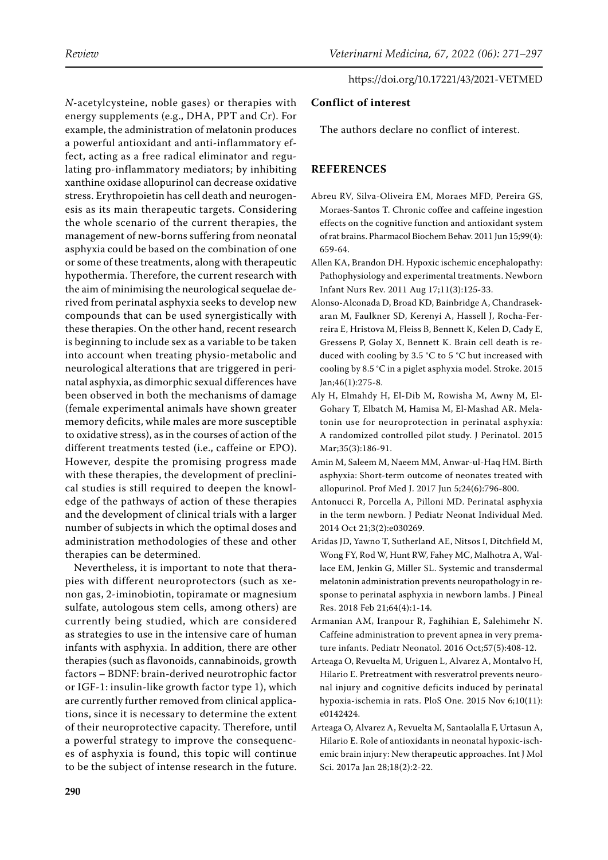*N*-acetylcysteine, noble gases) or therapies with energy supplements (e.g., DHA, PPT and Cr). For example, the administration of melatonin produces a powerful antioxidant and anti-inflammatory effect, acting as a free radical eliminator and regulating pro-inflammatory mediators; by inhibiting xanthine oxidase allopurinol can decrease oxidative stress. Erythropoietin has cell death and neurogenesis as its main therapeutic targets. Considering the whole scenario of the current therapies, the management of new-borns suffering from neonatal asphyxia could be based on the combination of one or some of these treatments, along with therapeutic hypothermia. Therefore, the current research with the aim of minimising the neurological sequelae derived from perinatal asphyxia seeks to develop new compounds that can be used synergistically with these therapies. On the other hand, recent research is beginning to include sex as a variable to be taken into account when treating physio-metabolic and neurological alterations that are triggered in perinatal asphyxia, as dimorphic sexual differences have been observed in both the mechanisms of damage (female experimental animals have shown greater memory deficits, while males are more susceptible to oxidative stress), as in the courses of action of the different treatments tested (i.e., caffeine or EPO). However, despite the promising progress made with these therapies, the development of preclinical studies is still required to deepen the knowledge of the pathways of action of these therapies and the development of clinical trials with a larger number of subjects in which the optimal doses and administration methodologies of these and other therapies can be determined.

Nevertheless, it is important to note that therapies with different neuroprotectors (such as xenon gas, 2-iminobiotin, topiramate or magnesium sulfate, autologous stem cells, among others) are currently being studied, which are considered as strategies to use in the intensive care of human infants with asphyxia. In addition, there are other therapies (such as flavonoids, cannabinoids, growth factors – BDNF: brain-derived neurotrophic factor or IGF-1: insulin-like growth factor type 1), which are currently further removed from clinical applications, since it is necessary to determine the extent of their neuroprotective capacity. Therefore, until a powerful strategy to improve the consequences of asphyxia is found, this topic will continue to be the subject of intense research in the future.

# **Conflict of interest**

The authors declare no conflict of interest.

# **REFERENCES**

- <span id="page-19-2"></span>Abreu RV, Silva-Oliveira EM, Moraes MFD, Pereira GS, Moraes-Santos T. Chronic coffee and caffeine ingestion effects on the cognitive function and antioxidant system of rat brains. Pharmacol Biochem Behav. 2011 Jun 15;99(4): 659-64.
- <span id="page-19-1"></span>Allen KA, Brandon DH. Hypoxic ischemic encephalopathy: Pathophysiology and experimental treatments. Newborn Infant Nurs Rev. 2011 Aug 17;11(3):125-33.
- <span id="page-19-4"></span>Alonso-Alconada D, Broad KD, Bainbridge A, Chandrasekaran M, Faulkner SD, Kerenyi A, Hassell J, Rocha-Ferreira E, Hristova M, Fleiss B, Bennett K, Kelen D, Cady E, Gressens P, Golay X, Bennett K. Brain cell death is reduced with cooling by 3.5 °C to 5 °C but increased with cooling by 8.5 °C in a piglet asphyxia model. Stroke. 2015 Jan;46(1):275-8.
- <span id="page-19-8"></span>Aly H, Elmahdy H, El-Dib M, Rowisha M, Awny M, El-Gohary T, Elbatch M, Hamisa M, El-Mashad AR. Melatonin use for neuroprotection in perinatal asphyxia: A randomized controlled pilot study. J Perinatol. 2015 Mar;35(3):186-91.
- <span id="page-19-6"></span>Amin M, Saleem M, Naeem MM, Anwar-ul-Haq HM. Birth asphyxia: Short-term outcome of neonates treated with allopurinol. Prof Med J. 2017 Jun 5;24(6):796-800.
- <span id="page-19-0"></span>Antonucci R, Porcella A, Pilloni MD. Perinatal asphyxia in the term newborn. J Pediatr Neonat Individual Med. 2014 Oct 21;3(2):e030269.
- <span id="page-19-7"></span>Aridas JD, Yawno T, Sutherland AE, Nitsos I, Ditchfield M, Wong FY, Rod W, Hunt RW, Fahey MC, Malhotra A, Wallace EM, Jenkin G, Miller SL. Systemic and transdermal melatonin administration prevents neuropathology in response to perinatal asphyxia in newborn lambs. J Pineal Res. 2018 Feb 21;64(4):1-14.
- <span id="page-19-3"></span>Armanian AM, Iranpour R, Faghihian E, Salehimehr N. Caffeine administration to prevent apnea in very premature infants. Pediatr Neonatol. 2016 Oct;57(5):408-12.
- <span id="page-19-9"></span>Arteaga O, Revuelta M, Uriguen L, Alvarez A, Montalvo H, Hilario E. Pretreatment with resveratrol prevents neuronal injury and cognitive deficits induced by perinatal hypoxia-ischemia in rats. PloS One. 2015 Nov 6;10(11): e0142424.
- <span id="page-19-5"></span>Arteaga O, Alvarez A, Revuelta M, Santaolalla F, Urtasun A, Hilario E. Role of antioxidants in neonatal hypoxic-ischemic brain injury: New therapeutic approaches. Int J Mol Sci. 2017a Jan 28;18(2):2-22.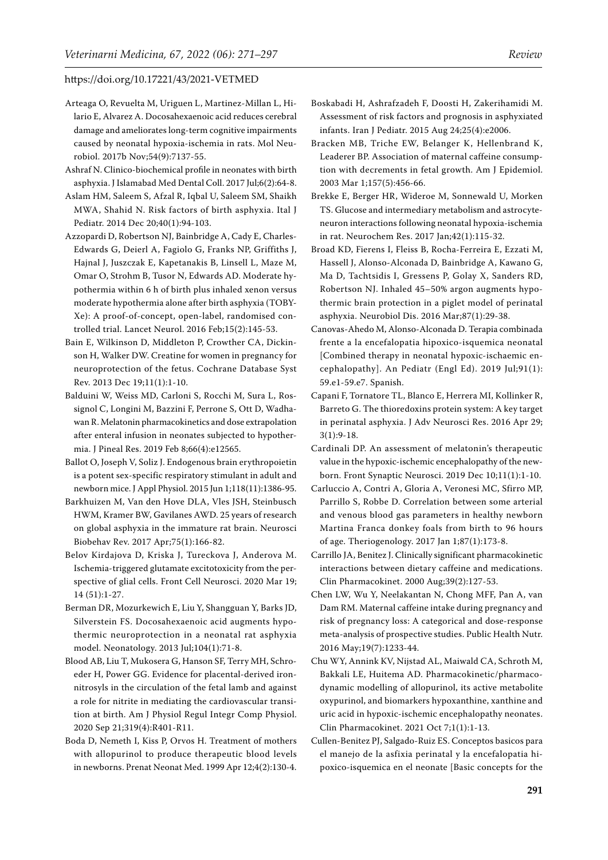- <span id="page-20-21"></span>Arteaga O, Revuelta M, Uriguen L, Martinez-Millan L, Hilario E, Alvarez A. Docosahexaenoic acid reduces cerebral damage and ameliorates long-term cognitive impairments caused by neonatal hypoxia-ischemia in rats. Mol Neurobiol. 2017b Nov;54(9):7137-55.
- <span id="page-20-0"></span>Ashraf N. Clinico-biochemical profile in neonates with birth asphyxia. J Islamabad Med Dental Coll. 2017 Jul;6(2):64-8.
- <span id="page-20-1"></span>Aslam HM, Saleem S, Afzal R, Iqbal U, Saleem SM, Shaikh MWA, Shahid N. Risk factors of birth asphyxia. Ital J Pediatr. 2014 Dec 20;40(1):94-103.
- <span id="page-20-19"></span>Azzopardi D, Robertson NJ, Bainbridge A, Cady E, Charles-Edwards G, Deierl A, Fagiolo G, Franks NP, Griffiths J, Hajnal J, Juszczak E, Kapetanakis B, Linsell L, Maze M, Omar O, Strohm B, Tusor N, Edwards AD. Moderate hypothermia within 6 h of birth plus inhaled xenon versus moderate hypothermia alone after birth asphyxia (TOBY-Xe): A proof-of-concept, open-label, randomised controlled trial. Lancet Neurol. 2016 Feb;15(2):145-53.
- <span id="page-20-23"></span>Bain E, Wilkinson D, Middleton P, Crowther CA, Dickinson H, Walker DW. Creatine for women in pregnancy for neuroprotection of the fetus. Cochrane Database Syst Rev. 2013 Dec 19;11(1):1-10.
- <span id="page-20-18"></span>Balduini W, Weiss MD, Carloni S, Rocchi M, Sura L, Rossignol C, Longini M, Bazzini F, Perrone S, Ott D, Wadhawan R. Melatonin pharmacokinetics and dose extrapolation after enteral infusion in neonates subjected to hypothermia. J Pineal Res. 2019 Feb 8;66(4):e12565.
- <span id="page-20-12"></span>Ballot O, Joseph V, Soliz J. Endogenous brain erythropoietin is a potent sex-specific respiratory stimulant in adult and newborn mice. J Appl Physiol. 2015 Jun 1;118(11):1386-95.
- <span id="page-20-2"></span>Barkhuizen M, Van den Hove DLA, Vles JSH, Steinbusch HWM, Kramer BW, Gavilanes AWD. 25 years of research on global asphyxia in the immature rat brain. Neurosci Biobehav Rev. 2017 Apr;75(1):166-82.
- <span id="page-20-8"></span>Belov Kirdajova D, Kriska J, Tureckova J, Anderova M. Ischemia-triggered glutamate excitotoxicity from the perspective of glial cells. Front Cell Neurosci. 2020 Mar 19; 14 (51):1-27.
- <span id="page-20-22"></span>Berman DR, Mozurkewich E, Liu Y, Shangguan Y, Barks JD, Silverstein FS. Docosahexaenoic acid augments hypothermic neuroprotection in a neonatal rat asphyxia model. Neonatology. 2013 Jul;104(1):71-8.
- <span id="page-20-9"></span>Blood AB, Liu T, Mukosera G, Hanson SF, Terry MH, Schroeder H, Power GG. Evidence for placental-derived ironnitrosyls in the circulation of the fetal lamb and against a role for nitrite in mediating the cardiovascular transition at birth. Am J Physiol Regul Integr Comp Physiol. 2020 Sep 21;319(4):R401-R11.
- <span id="page-20-16"></span>Boda D, Nemeth I, Kiss P, Orvos H. Treatment of mothers with allopurinol to produce therapeutic blood levels in newborns. Prenat Neonat Med. 1999 Apr 12;4(2):130-4.
- <span id="page-20-3"></span>Boskabadi H, Ashrafzadeh F, Doosti H, Zakerihamidi M. Assessment of risk factors and prognosis in asphyxiated infants. Iran J Pediatr. 2015 Aug 24;25(4):e2006.
- <span id="page-20-13"></span>Bracken MB, Triche EW, Belanger K, Hellenbrand K, Leaderer BP. Association of maternal caffeine consumption with decrements in fetal growth. Am J Epidemiol. 2003 Mar 1;157(5):456-66.
- <span id="page-20-15"></span>Brekke E, Berger HR, Wideroe M, Sonnewald U, Morken TS. Glucose and intermediary metabolism and astrocyteneuron interactions following neonatal hypoxia-ischemia in rat. Neurochem Res. 2017 Jan;42(1):115-32.
- <span id="page-20-20"></span>Broad KD, Fierens I, Fleiss B, Rocha-Ferreira E, Ezzati M, Hassell J, Alonso-Alconada D, Bainbridge A, Kawano G, Ma D, Tachtsidis I, Gressens P, Golay X, Sanders RD, Robertson NJ. Inhaled 45–50% argon augments hypothermic brain protection in a piglet model of perinatal asphyxia. Neurobiol Dis. 2016 Mar;87(1):29-38.
- <span id="page-20-7"></span>Canovas-Ahedo M, Alonso-Alconada D. Terapia combinada frente a la encefalopatia hipoxico-isquemica neonatal [Combined therapy in neonatal hypoxic-ischaemic encephalopathy]. An Pediatr (Engl Ed). 2019 Jul;91(1): 59.e1-59.e7. Spanish.
- <span id="page-20-4"></span>Capani F, Tornatore TL, Blanco E, Herrera MI, Kollinker R, Barreto G. The thioredoxins protein system: A key target in perinatal asphyxia. J Adv Neurosci Res. 2016 Apr 29; 3(1):9-18.
- <span id="page-20-10"></span>Cardinali DP. An assessment of melatonin's therapeutic value in the hypoxic-ischemic encephalopathy of the newborn. Front Synaptic Neurosci. 2019 Dec 10;11(1):1-10.
- <span id="page-20-5"></span>Carluccio A, Contri A, Gloria A, Veronesi MC, Sfirro MP, Parrillo S, Robbe D. Correlation between some arterial and venous blood gas parameters in healthy newborn Martina Franca donkey foals from birth to 96 hours of age. Theriogenology. 2017 Jan 1;87(1):173-8.
- <span id="page-20-11"></span>Carrillo JA, Benitez J. Clinically significant pharmacokinetic interactions between dietary caffeine and medications. Clin Pharmacokinet. 2000 Aug;39(2):127-53.
- <span id="page-20-14"></span>Chen LW, Wu Y, Neelakantan N, Chong MFF, Pan A, van Dam RM. Maternal caffeine intake during pregnancy and risk of pregnancy loss: A categorical and dose-response meta-analysis of prospective studies. Public Health Nutr. 2016 May;19(7):1233-44.
- <span id="page-20-17"></span>Chu WY, Annink KV, Nijstad AL, Maiwald CA, Schroth M, Bakkali LE, Huitema AD. Pharmacokinetic/pharmacodynamic modelling of allopurinol, its active metabolite oxypurinol, and biomarkers hypoxanthine, xanthine and uric acid in hypoxic-ischemic encephalopathy neonates. Clin Pharmacokinet. 2021 Oct 7;1(1):1-13.
- <span id="page-20-6"></span>Cullen-Benitez PJ, Salgado-Ruiz ES. Conceptos basicos para el manejo de la asfixia perinatal y la encefalopatia hipoxico-isquemica en el neonate [Basic concepts for the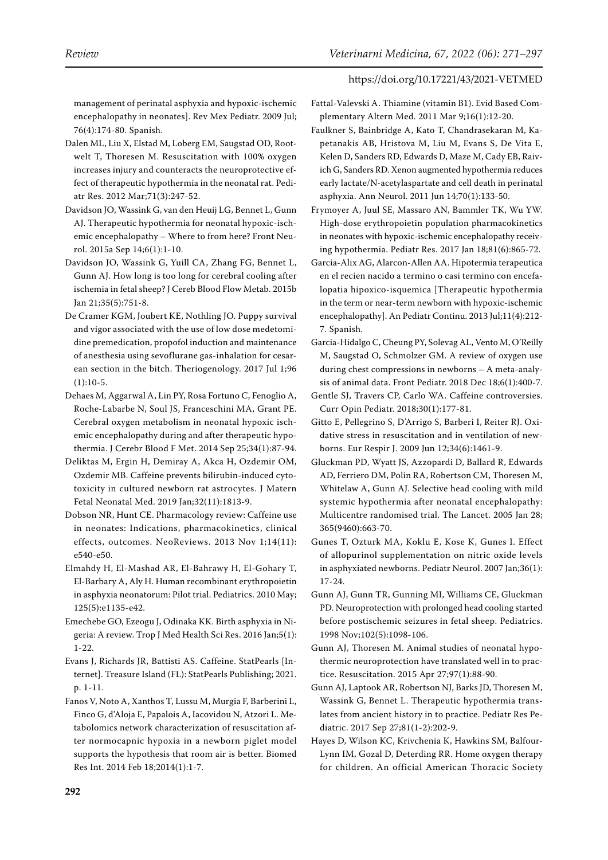management of perinatal asphyxia and hypoxic-ischemic encephalopathy in neonates]. Rev Mex Pediatr. 2009 Jul; 76(4):174-80. Spanish.

- <span id="page-21-5"></span>Dalen ML, Liu X, Elstad M, Loberg EM, Saugstad OD, Rootwelt T, Thoresen M. Resuscitation with 100% oxygen increases injury and counteracts the neuroprotective effect of therapeutic hypothermia in the neonatal rat. Pediatr Res. 2012 Mar;71(3):247-52.
- <span id="page-21-15"></span>Davidson JO, Wassink G, van den Heuij LG, Bennet L, Gunn AJ. Therapeutic hypothermia for neonatal hypoxic-ischemic encephalopathy – Where to from here? Front Neurol. 2015a Sep 14;6(1):1-10.
- <span id="page-21-17"></span>Davidson JO, Wassink G, Yuill CA, Zhang FG, Bennet L, Gunn AJ. How long is too long for cerebral cooling after ischemia in fetal sheep? J Cereb Blood Flow Metab. 2015b Jan 21;35(5):751-8.
- <span id="page-21-2"></span>De Cramer KGM, Joubert KE, Nothling JO. Puppy survival and vigor associated with the use of low dose medetomidine premedication, propofol induction and maintenance of anesthesia using sevoflurane gas-inhalation for cesarean section in the bitch. Theriogenology. 2017 Jul 1;96  $(1):10-5.$
- <span id="page-21-11"></span>Dehaes M, Aggarwal A, Lin PY, Rosa Fortuno C, Fenoglio A, Roche-Labarbe N, Soul JS, Franceschini MA, Grant PE. Cerebral oxygen metabolism in neonatal hypoxic ischemic encephalopathy during and after therapeutic hypothermia. J Cerebr Blood F Met. 2014 Sep 25;34(1):87-94.
- <span id="page-21-6"></span>Deliktas M, Ergin H, Demiray A, Akca H, Ozdemir OM, Ozdemir MB. Caffeine prevents bilirubin-induced cytotoxicity in cultured newborn rat astrocytes. J Matern Fetal Neonatal Med. 2019 Jan;32(11):1813-9.
- <span id="page-21-7"></span>Dobson NR, Hunt CE. Pharmacology review: Caffeine use in neonates: Indications, pharmacokinetics, clinical effects, outcomes. NeoReviews. 2013 Nov 1;14(11): e540-e50.
- <span id="page-21-19"></span>Elmahdy H, El-Mashad AR, El-Bahrawy H, El-Gohary T, El-Barbary A, Aly H. Human recombinant erythropoietin in asphyxia neonatorum: Pilot trial. Pediatrics. 2010 May; 125(5):e1135-e42.
- <span id="page-21-0"></span>Emechebe GO, Ezeogu J, Odinaka KK. Birth asphyxia in Nigeria: A review. Trop J Med Health Sci Res. 2016 Jan;5(1): 1-22.
- <span id="page-21-8"></span>Evans J, Richards JR, Battisti AS. Caffeine. StatPearls [Internet]. Treasure Island (FL): StatPearls Publishing; 2021. p. 1-11.
- <span id="page-21-1"></span>Fanos V, Noto A, Xanthos T, Lussu M, Murgia F, Barberini L, Finco G, d'Aloja E, Papalois A, Iacovidou N, Atzori L. Metabolomics network characterization of resuscitation after normocapnic hypoxia in a newborn piglet model supports the hypothesis that room air is better. Biomed Res Int. 2014 Feb 18;2014(1):1-7.
- <span id="page-21-23"></span>Fattal-Valevski A. Thiamine (vitamin B1). Evid Based Complementary Altern Med. 2011 Mar 9;16(1):12-20.
- <span id="page-21-22"></span>Faulkner S, Bainbridge A, Kato T, Chandrasekaran M, Kapetanakis AB, Hristova M, Liu M, Evans S, De Vita E, Kelen D, Sanders RD, Edwards D, Maze M, Cady EB, Raivich G, Sanders RD. Xenon augmented hypothermia reduces early lactate/N-acetylaspartate and cell death in perinatal asphyxia. Ann Neurol. 2011 Jun 14;70(1):133-50.
- <span id="page-21-20"></span>Frymoyer A, Juul SE, Massaro AN, Bammler TK, Wu YW. High-dose erythropoietin population pharmacokinetics in neonates with hypoxic-ischemic encephalopathy receiving hypothermia. Pediatr Res. 2017 Jan 18;81(6):865-72.
- <span id="page-21-14"></span>Garcia-Alix AG, Alarcon-Allen AA. Hipotermia terapeutica en el recien nacido a termino o casi termino con encefalopatia hipoxico-isquemica [Therapeutic hypothermia in the term or near-term newborn with hypoxic-ischemic encephalopathy]. An Pediatr Continu. 2013 Jul;11(4):212- 7. Spanish.
- <span id="page-21-4"></span>Garcia-Hidalgo C, Cheung PY, Solevag AL, Vento M, O'Reilly M, Saugstad O, Schmolzer GM. A review of oxygen use during chest compressions in newborns – A meta-analysis of animal data. Front Pediatr. 2018 Dec 18;6(1):400-7.
- <span id="page-21-9"></span>Gentle SJ, Travers CP, Carlo WA. Caffeine controversies. Curr Opin Pediatr. 2018;30(1):177-81.
- <span id="page-21-21"></span>Gitto E, Pellegrino S, D'Arrigo S, Barberi I, Reiter RJ. Oxidative stress in resuscitation and in ventilation of newborns. Eur Respir J. 2009 Jun 12;34(6):1461-9.
- <span id="page-21-10"></span>Gluckman PD, Wyatt JS, Azzopardi D, Ballard R, Edwards AD, Ferriero DM, Polin RA, Robertson CM, Thoresen M, Whitelaw A, Gunn AJ. Selective head cooling with mild systemic hypothermia after neonatal encephalopathy: Multicentre randomised trial. The Lancet. 2005 Jan 28; 365(9460):663-70.
- <span id="page-21-18"></span>Gunes T, Ozturk MA, Koklu E, Kose K, Gunes I. Effect of allopurinol supplementation on nitric oxide levels in asphyxiated newborns. Pediatr Neurol. 2007 Jan;36(1): 17-24.
- <span id="page-21-12"></span>Gunn AJ, Gunn TR, Gunning MI, Williams CE, Gluckman PD. Neuroprotection with prolonged head cooling started before postischemic seizures in fetal sheep. Pediatrics. 1998 Nov;102(5):1098-106.
- <span id="page-21-13"></span>Gunn AJ, Thoresen M. Animal studies of neonatal hypothermic neuroprotection have translated well in to practice. Resuscitation. 2015 Apr 27;97(1):88-90.
- <span id="page-21-16"></span>Gunn AJ, Laptook AR, Robertson NJ, Barks JD, Thoresen M, Wassink G, Bennet L. Therapeutic hypothermia translates from ancient history in to practice. Pediatr Res Pediatric. 2017 Sep 27;81(1-2):202-9.
- <span id="page-21-3"></span>Hayes D, Wilson KC, Krivchenia K, Hawkins SM, Balfour-Lynn IM, Gozal D, Deterding RR. Home oxygen therapy for children. An official American Thoracic Society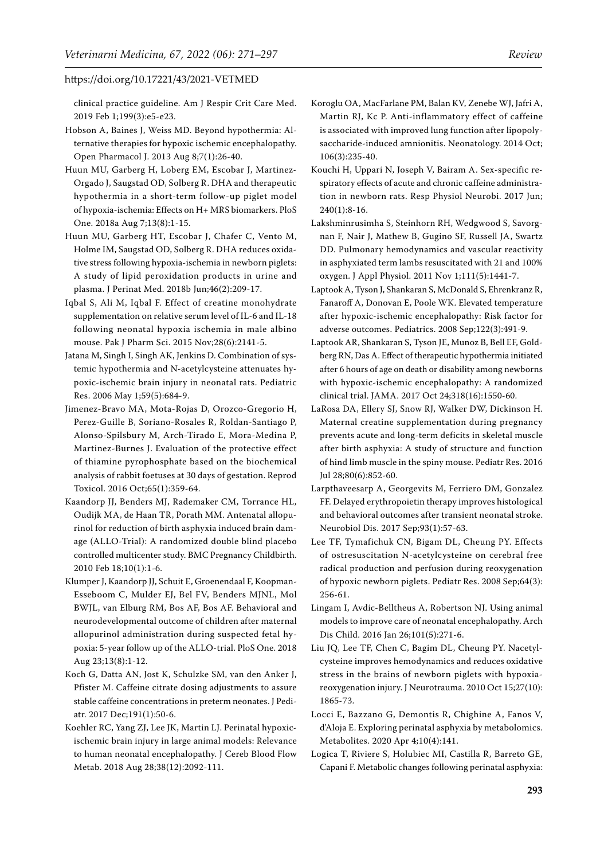clinical practice guideline. Am J Respir Crit Care Med. 2019 Feb 1;199(3):e5-e23.

- <span id="page-22-11"></span>Hobson A, Baines J, Weiss MD. Beyond hypothermia: Alternative therapies for hypoxic ischemic encephalopathy. Open Pharmacol J. 2013 Aug 8;7(1):26-40.
- <span id="page-22-16"></span>Huun MU, Garberg H, Loberg EM, Escobar J, Martinez-Orgado J, Saugstad OD, Solberg R. DHA and therapeutic hypothermia in a short-term follow-up piglet model of hypoxia-ischemia: Effects on H+ MRS biomarkers. PloS One. 2018a Aug 7;13(8):1-15.
- <span id="page-22-17"></span>Huun MU, Garberg HT, Escobar J, Chafer C, Vento M, Holme IM, Saugstad OD, Solberg R. DHA reduces oxidative stress following hypoxia-ischemia in newborn piglets: A study of lipid peroxidation products in urine and plasma. J Perinat Med. 2018b Jun;46(2):209-17.
- <span id="page-22-18"></span>Iqbal S, Ali M, Iqbal F. Effect of creatine monohydrate supplementation on relative serum level of IL-6 and IL-18 following neonatal hypoxia ischemia in male albino mouse. Pak J Pharm Sci. 2015 Nov;28(6):2141-5.
- <span id="page-22-14"></span>Jatana M, Singh I, Singh AK, Jenkins D. Combination of systemic hypothermia and N-acetylcysteine attenuates hypoxic-ischemic brain injury in neonatal rats. Pediatric Res. 2006 May 1;59(5):684-9.
- <span id="page-22-0"></span>Jimenez-Bravo MA, Mota-Rojas D, Orozco-Gregorio H, Perez-Guille B, Soriano-Rosales R, Roldan-Santiago P, Alonso-Spilsbury M, Arch-Tirado E, Mora-Medina P, Martinez-Burnes J. Evaluation of the protective effect of thiamine pyrophosphate based on the biochemical analysis of rabbit foetuses at 30 days of gestation. Reprod Toxicol. 2016 Oct;65(1):359-64.
- <span id="page-22-9"></span>Kaandorp JJ, Benders MJ, Rademaker CM, Torrance HL, Oudijk MA, de Haan TR, Porath MM. Antenatal allopurinol for reduction of birth asphyxia induced brain damage (ALLO-Trial): A randomized double blind placebo controlled multicenter study. BMC Pregnancy Childbirth. 2010 Feb 18;10(1):1-6.
- <span id="page-22-8"></span>Klumper J, Kaandorp JJ, Schuit E, Groenendaal F, Koopman-Esseboom C, Mulder EJ, Bel FV, Benders MJNL, Mol BWJL, van Elburg RM, Bos AF, Bos AF. Behavioral and neurodevelopmental outcome of children after maternal allopurinol administration during suspected fetal hypoxia: 5-year follow up of the ALLO-trial. PloS One. 2018 Aug 23;13(8):1-12.
- <span id="page-22-6"></span>Koch G, Datta AN, Jost K, Schulzke SM, van den Anker J, Pfister M. Caffeine citrate dosing adjustments to assure stable caffeine concentrations in preterm neonates. J Pediatr. 2017 Dec;191(1):50-6.
- <span id="page-22-21"></span>Koehler RC, Yang ZJ, Lee JK, Martin LJ. Perinatal hypoxicischemic brain injury in large animal models: Relevance to human neonatal encephalopathy. J Cereb Blood Flow Metab. 2018 Aug 28;38(12):2092-111.
- <span id="page-22-4"></span>Koroglu OA, MacFarlane PM, Balan KV, Zenebe WJ, Jafri A, Martin RJ, Kc P. Anti-inflammatory effect of caffeine is associated with improved lung function after lipopolysaccharide-induced amnionitis. Neonatology. 2014 Oct; 106(3):235-40.
- <span id="page-22-5"></span>Kouchi H, Uppari N, Joseph V, Bairam A. Sex-specific respiratory effects of acute and chronic caffeine administration in newborn rats. Resp Physiol Neurobi. 2017 Jun; 240(1):8-16.
- <span id="page-22-3"></span>Lakshminrusimha S, Steinhorn RH, Wedgwood S, Savorgnan F, Nair J, Mathew B, Gugino SF, Russell JA, Swartz DD. Pulmonary hemodynamics and vascular reactivity in asphyxiated term lambs resuscitated with 21 and 100% oxygen. J Appl Physiol. 2011 Nov 1;111(5):1441-7.
- <span id="page-22-7"></span>Laptook A, Tyson J, Shankaran S, McDonald S, Ehrenkranz R, Fanaroff A, Donovan E, Poole WK. Elevated temperature after hypoxic-ischemic encephalopathy: Risk factor for adverse outcomes. Pediatrics. 2008 Sep;122(3):491-9.
- <span id="page-22-1"></span>Laptook AR, Shankaran S, Tyson JE, Munoz B, Bell EF, Goldberg RN, Das A. Effect of therapeutic hypothermia initiated after 6 hours of age on death or disability among newborns with hypoxic-ischemic encephalopathy: A randomized clinical trial. JAMA. 2017 Oct 24;318(16):1550-60.
- <span id="page-22-19"></span>LaRosa DA, Ellery SJ, Snow RJ, Walker DW, Dickinson H. Maternal creatine supplementation during pregnancy prevents acute and long-term deficits in skeletal muscle after birth asphyxia: A study of structure and function of hind limb muscle in the spiny mouse. Pediatr Res. 2016 Jul 28;80(6):852-60.
- <span id="page-22-10"></span>Larpthaveesarp A, Georgevits M, Ferriero DM, Gonzalez FF. Delayed erythropoietin therapy improves histological and behavioral outcomes after transient neonatal stroke. Neurobiol Dis. 2017 Sep;93(1):57-63.
- <span id="page-22-12"></span>Lee TF, Tymafichuk CN, Bigam DL, Cheung PY. Effects of ostresuscitation N-acetylcysteine on cerebral free radical production and perfusion during reoxygenation of hypoxic newborn piglets. Pediatr Res. 2008 Sep;64(3): 256-61.
- <span id="page-22-2"></span>Lingam I, Avdic-Belltheus A, Robertson NJ. Using animal models to improve care of neonatal encephalopathy. Arch Dis Child. 2016 Jan 26;101(5):271-6.
- <span id="page-22-13"></span>Liu JQ, Lee TF, Chen C, Bagim DL, Cheung PY. Nacetylcysteine improves hemodynamics and reduces oxidative stress in the brains of newborn piglets with hypoxiareoxygenation injury. J Neurotrauma. 2010 Oct 15;27(10): 1865-73.
- <span id="page-22-20"></span>Locci E, Bazzano G, Demontis R, Chighine A, Fanos V, d'Aloja E. Exploring perinatal asphyxia by metabolomics. Metabolites. 2020 Apr 4;10(4):141.
- <span id="page-22-15"></span>Logica T, Riviere S, Holubiec MI, Castilla R, Barreto GE, Capani F. Metabolic changes following perinatal asphyxia: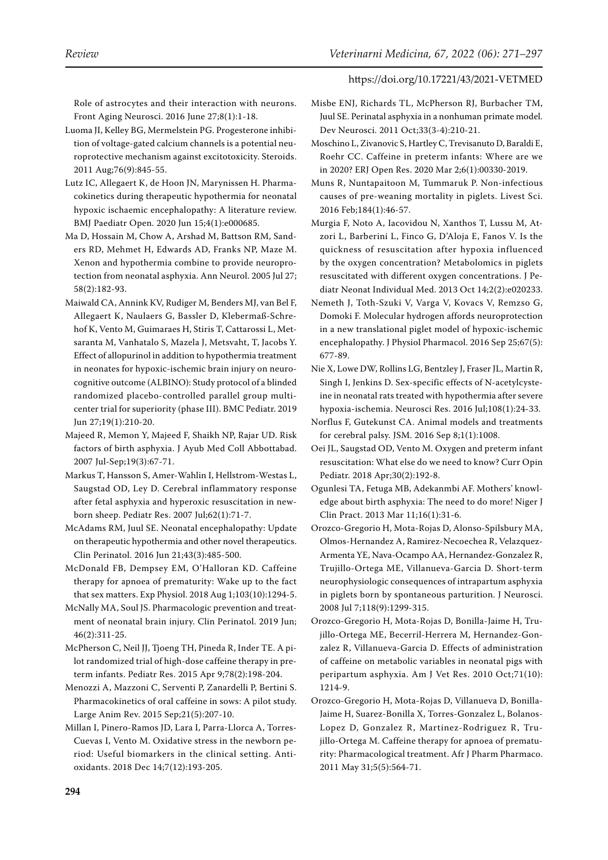Role of astrocytes and their interaction with neurons. Front Aging Neurosci. 2016 June 27;8(1):1-18.

- <span id="page-23-6"></span>Luoma JI, Kelley BG, Mermelstein PG. Progesterone inhibition of voltage-gated calcium channels is a potential neuroprotective mechanism against excitotoxicity. Steroids. 2011 Aug;76(9):845-55.
- <span id="page-23-19"></span>Lutz IC, Allegaert K, de Hoon JN, Marynissen H. Pharmacokinetics during therapeutic hypothermia for neonatal hypoxic ischaemic encephalopathy: A literature review. BMJ Paediatr Open. 2020 Jun 15;4(1):e000685.
- <span id="page-23-21"></span>Ma D, Hossain M, Chow A, Arshad M, Battson RM, Sanders RD, Mehmet H, Edwards AD, Franks NP, Maze M. Xenon and hypothermia combine to provide neuroprotection from neonatal asphyxia. Ann Neurol. 2005 Jul 27; 58(2):182-93.
- <span id="page-23-17"></span>Maiwald CA, Annink KV, Rudiger M, Benders MJ, van Bel F, Allegaert K, Naulaers G, Bassler D, Klebermaß-Schrehof K, Vento M, Guimaraes H, Stiris T, Cattarossi L, Metsaranta M, Vanhatalo S, Mazela J, Metsvaht, T, Jacobs Y. Effect of allopurinol in addition to hypothermia treatment in neonates for hypoxic-ischemic brain injury on neurocognitive outcome (ALBINO): Study protocol of a blinded randomized placebo-controlled parallel group multicenter trial for superiority (phase III). BMC Pediatr. 2019 Jun 27;19(1):210-20.
- <span id="page-23-1"></span>Majeed R, Memon Y, Majeed F, Shaikh NP, Rajar UD. Risk factors of birth asphyxia. J Ayub Med Coll Abbottabad. 2007 Jul-Sep;19(3):67-71.
- <span id="page-23-8"></span>Markus T, Hansson S, Amer-Wahlin I, Hellstrom-Westas L, Saugstad OD, Ley D. Cerebral inflammatory response after fetal asphyxia and hyperoxic resuscitation in newborn sheep. Pediatr Res. 2007 Jul;62(1):71-7.
- <span id="page-23-18"></span>McAdams RM, Juul SE. Neonatal encephalopathy: Update on therapeutic hypothermia and other novel therapeutics. Clin Perinatol. 2016 Jun 21;43(3):485-500.
- <span id="page-23-13"></span>McDonald FB, Dempsey EM, O'Halloran KD. Caffeine therapy for apnoea of prematurity: Wake up to the fact that sex matters. Exp Physiol. 2018 Aug 1;103(10):1294-5.
- <span id="page-23-16"></span>McNally MA, Soul JS. Pharmacologic prevention and treatment of neonatal brain injury. Clin Perinatol. 2019 Jun; 46(2):311-25.
- <span id="page-23-14"></span>McPherson C, Neil JJ, Tjoeng TH, Pineda R, Inder TE. A pilot randomized trial of high-dose caffeine therapy in preterm infants. Pediatr Res. 2015 Apr 9;78(2):198-204.
- <span id="page-23-11"></span>Menozzi A, Mazzoni C, Serventi P, Zanardelli P, Bertini S. Pharmacokinetics of oral caffeine in sows: A pilot study. Large Anim Rev. 2015 Sep;21(5):207-10.
- <span id="page-23-5"></span>Millan I, Pinero-Ramos JD, Lara I, Parra-Llorca A, Torres-Cuevas I, Vento M. Oxidative stress in the newborn period: Useful biomarkers in the clinical setting. Antioxidants. 2018 Dec 14;7(12):193-205.
- <span id="page-23-3"></span>Misbe ENJ, Richards TL, McPherson RJ, Burbacher TM, Juul SE. Perinatal asphyxia in a nonhuman primate model. Dev Neurosci. 2011 Oct;33(3-4):210-21.
- <span id="page-23-15"></span>Moschino L, Zivanovic S, Hartley C, Trevisanuto D, Baraldi E, Roehr CC. Caffeine in preterm infants: Where are we in 2020? ERJ Open Res. 2020 Mar 2;6(1):00330-2019.
- <span id="page-23-4"></span>Muns R, Nuntapaitoon M, Tummaruk P. Non-infectious causes of pre-weaning mortality in piglets. Livest Sci. 2016 Feb;184(1):46-57.
- <span id="page-23-9"></span>Murgia F, Noto A, Iacovidou N, Xanthos T, Lussu M, Atzori L, Barberini L, Finco G, D'Aloja E, Fanos V. Is the quickness of resuscitation after hypoxia influenced by the oxygen concentration? Metabolomics in piglets resuscitated with different oxygen concentrations. J Pediatr Neonat Individual Med. 2013 Oct 14;2(2):e020233.
- <span id="page-23-2"></span>Nemeth J, Toth-Szuki V, Varga V, Kovacs V, Remzso G, Domoki F. Molecular hydrogen affords neuroprotection in a new translational piglet model of hypoxic-ischemic encephalopathy. J Physiol Pharmacol. 2016 Sep 25;67(5): 677-89.
- <span id="page-23-20"></span>Nie X, Lowe DW, Rollins LG, Bentzley J, Fraser JL, Martin R, Singh I, Jenkins D. Sex-specific effects of N-acetylcysteine in neonatal rats treated with hypothermia after severe hypoxia-ischemia. Neurosci Res. 2016 Jul;108(1):24-33.
- <span id="page-23-23"></span>Norflus F, Gutekunst CA. Animal models and treatments for cerebral palsy. JSM. 2016 Sep 8;1(1):1008.
- <span id="page-23-7"></span>Oei JL, Saugstad OD, Vento M. Oxygen and preterm infant resuscitation: What else do we need to know? Curr Opin Pediatr. 2018 Apr;30(2):192-8.
- <span id="page-23-0"></span>Ogunlesi TA, Fetuga MB, Adekanmbi AF. Mothers' knowledge about birth asphyxia: The need to do more! Niger J Clin Pract. 2013 Mar 11;16(1):31-6.
- <span id="page-23-22"></span>Orozco-Gregorio H, Mota-Rojas D, Alonso-Spilsbury MA, Olmos-Hernandez A, Ramirez-Necoechea R, Velazquez-Armenta YE, Nava-Ocampo AA, Hernandez-Gonzalez R, Trujillo-Ortega ME, Villanueva-Garcia D. Short-term neurophysiologic consequences of intrapartum asphyxia in piglets born by spontaneous parturition. J Neurosci. 2008 Jul 7;118(9):1299-315.
- <span id="page-23-12"></span>Orozco-Gregorio H, Mota-Rojas D, Bonilla-Jaime H, Trujillo-Ortega ME, Becerril-Herrera M, Hernandez-Gonzalez R, Villanueva-Garcia D. Effects of administration of caffeine on metabolic variables in neonatal pigs with peripartum asphyxia. Am J Vet Res. 2010 Oct;71(10): 1214-9.
- <span id="page-23-10"></span>Orozco-Gregorio H, Mota-Rojas D, Villanueva D, Bonilla-Jaime H, Suarez-Bonilla X, Torres-Gonzalez L, Bolanos-Lopez D, Gonzalez R, Martinez-Rodriguez R, Trujillo-Ortega M. Caffeine therapy for apnoea of prematurity: Pharmacological treatment. Afr J Pharm Pharmaco. 2011 May 31;5(5):564-71.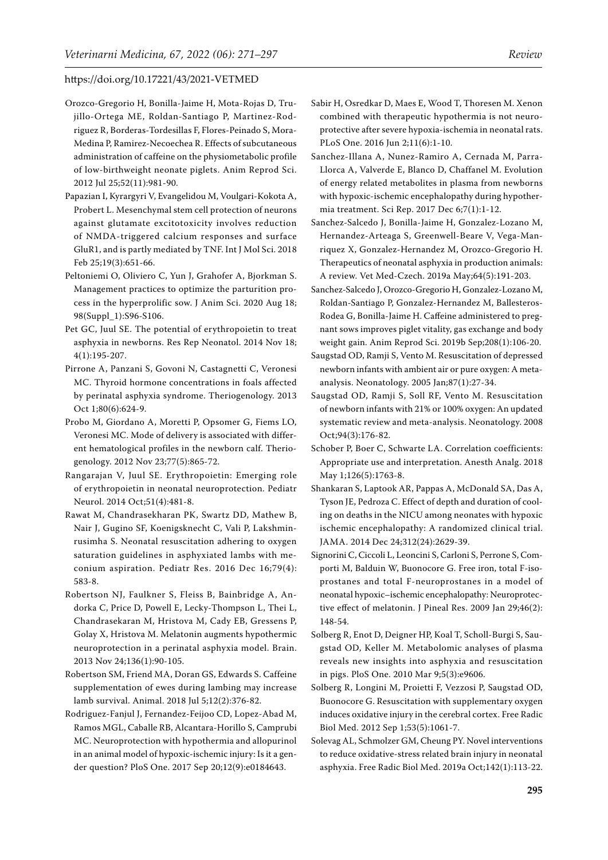- <span id="page-24-13"></span>Orozco-Gregorio H, Bonilla-Jaime H, Mota-Rojas D, Trujillo-Ortega ME, Roldan-Santiago P, Martinez-Rodriguez R, Borderas-Tordesillas F, Flores-Peinado S, Mora-Medina P, Ramirez-Necoechea R. Effects of subcutaneous administration of caffeine on the physiometabolic profile of low-birthweight neonate piglets. Anim Reprod Sci. 2012 Jul 25;52(11):981-90.
- <span id="page-24-5"></span>Papazian I, Kyrargyri V, Evangelidou M, Voulgari-Kokota A, Probert L. Mesenchymal stem cell protection of neurons against glutamate excitotoxicity involves reduction of NMDA-triggered calcium responses and surface GluR1, and is partly mediated by TNF. Int J Mol Sci. 2018 Feb 25;19(3):651-66.
- <span id="page-24-0"></span>Peltoniemi O, Oliviero C, Yun J, Grahofer A, Bjorkman S. Management practices to optimize the parturition process in the hyperprolific sow. J Anim Sci. 2020 Aug 18; 98(Suppl\_1):S96-S106.
- <span id="page-24-19"></span>Pet GC, Juul SE. The potential of erythropoietin to treat asphyxia in newborns. Res Rep Neonatol. 2014 Nov 18; 4(1):195-207.
- <span id="page-24-1"></span>Pirrone A, Panzani S, Govoni N, Castagnetti C, Veronesi MC. Thyroid hormone concentrations in foals affected by perinatal asphyxia syndrome. Theriogenology. 2013 Oct 1;80(6):624-9.
- <span id="page-24-2"></span>Probo M, Giordano A, Moretti P, Opsomer G, Fiems LO, Veronesi MC. Mode of delivery is associated with different hematological profiles in the newborn calf. Theriogenology. 2012 Nov 23;77(5):865-72.
- <span id="page-24-18"></span>Rangarajan V, Juul SE. Erythropoietin: Emerging role of erythropoietin in neonatal neuroprotection. Pediatr Neurol. 2014 Oct;51(4):481-8.
- <span id="page-24-8"></span>Rawat M, Chandrasekharan PK, Swartz DD, Mathew B, Nair J, Gugino SF, Koenigsknecht C, Vali P, Lakshminrusimha S. Neonatal resuscitation adhering to oxygen saturation guidelines in asphyxiated lambs with meconium aspiration. Pediatr Res. 2016 Dec 16;79(4): 583-8.
- <span id="page-24-21"></span>Robertson NJ, Faulkner S, Fleiss B, Bainbridge A, Andorka C, Price D, Powell E, Lecky-Thompson L, Thei L, Chandrasekaran M, Hristova M, Cady EB, Gressens P, Golay X, Hristova M. Melatonin augments hypothermic neuroprotection in a perinatal asphyxia model. Brain. 2013 Nov 24;136(1):90-105.
- <span id="page-24-3"></span>Robertson SM, Friend MA, Doran GS, Edwards S. Caffeine supplementation of ewes during lambing may increase lamb survival. Animal. 2018 Jul 5;12(2):376-82.
- <span id="page-24-14"></span>Rodriguez-Fanjul J, Fernandez-Feijoo CD, Lopez-Abad M, Ramos MGL, Caballe RB, Alcantara-Horillo S, Camprubi MC. Neuroprotection with hypothermia and allopurinol in an animal model of hypoxic-ischemic injury: Is it a gender question? PloS One. 2017 Sep 20;12(9):e0184643.
- <span id="page-24-22"></span>Sabir H, Osredkar D, Maes E, Wood T, Thoresen M. Xenon combined with therapeutic hypothermia is not neuroprotective after severe hypoxia-ischemia in neonatal rats. PLoS One. 2016 Jun 2;11(6):1-10.
- <span id="page-24-16"></span>Sanchez-Illana A, Nunez-Ramiro A, Cernada M, Parra-Llorca A, Valverde E, Blanco D, Chaffanel M. Evolution of energy related metabolites in plasma from newborns with hypoxic-ischemic encephalopathy during hypothermia treatment. Sci Rep. 2017 Dec 6;7(1):1-12.
- <span id="page-24-4"></span>Sanchez-Salcedo J, Bonilla-Jaime H, Gonzalez-Lozano M, Hernandez-Arteaga S, Greenwell-Beare V, Vega-Manriquez X, Gonzalez-Hernandez M, Orozco-Gregorio H. Therapeutics of neonatal asphyxia in production animals: A review. Vet Med-Czech. 2019a May;64(5):191-203.
- <span id="page-24-12"></span>Sanchez-Salcedo J, Orozco-Gregorio H, Gonzalez-Lozano M, Roldan-Santiago P, Gonzalez-Hernandez M, Ballesteros-Rodea G, Bonilla-Jaime H. Caffeine administered to pregnant sows improves piglet vitality, gas exchange and body weight gain. Anim Reprod Sci. 2019b Sep;208(1):106-20.
- <span id="page-24-10"></span>Saugstad OD, Ramji S, Vento M. Resuscitation of depressed newborn infants with ambient air or pure oxygen: A metaanalysis. Neonatology. 2005 Jan;87(1):27-34.
- <span id="page-24-7"></span>Saugstad OD, Ramji S, Soll RF, Vento M. Resuscitation of newborn infants with 21% or 100% oxygen: An updated systematic review and meta-analysis. Neonatology. 2008 Oct;94(3):176-82.
- <span id="page-24-17"></span>Schober P, Boer C, Schwarte LA. Correlation coefficients: Appropriate use and interpretation. Anesth Analg. 2018 May 1;126(5):1763-8.
- <span id="page-24-15"></span>Shankaran S, Laptook AR, Pappas A, McDonald SA, Das A, Tyson JE, Pedroza C. Effect of depth and duration of cooling on deaths in the NICU among neonates with hypoxic ischemic encephalopathy: A randomized clinical trial. JAMA. 2014 Dec 24;312(24):2629-39.
- <span id="page-24-20"></span>Signorini C, Ciccoli L, Leoncini S, Carloni S, Perrone S, Comporti M, Balduin W, Buonocore G. Free iron, total F-isoprostanes and total F-neuroprostanes in a model of neonatal hypoxic–ischemic encephalopathy: Neuroprotective effect of melatonin. J Pineal Res. 2009 Jan 29;46(2): 148-54.
- <span id="page-24-11"></span>Solberg R, Enot D, Deigner HP, Koal T, Scholl-Burgi S, Saugstad OD, Keller M. Metabolomic analyses of plasma reveals new insights into asphyxia and resuscitation in pigs. PloS One. 2010 Mar 9;5(3):e9606.
- <span id="page-24-9"></span>Solberg R, Longini M, Proietti F, Vezzosi P, Saugstad OD, Buonocore G. Resuscitation with supplementary oxygen induces oxidative injury in the cerebral cortex. Free Radic Biol Med. 2012 Sep 1;53(5):1061-7.
- <span id="page-24-6"></span>Solevag AL, Schmolzer GM, Cheung PY. Novel interventions to reduce oxidative-stress related brain injury in neonatal asphyxia. Free Radic Biol Med. 2019a Oct;142(1):113-22.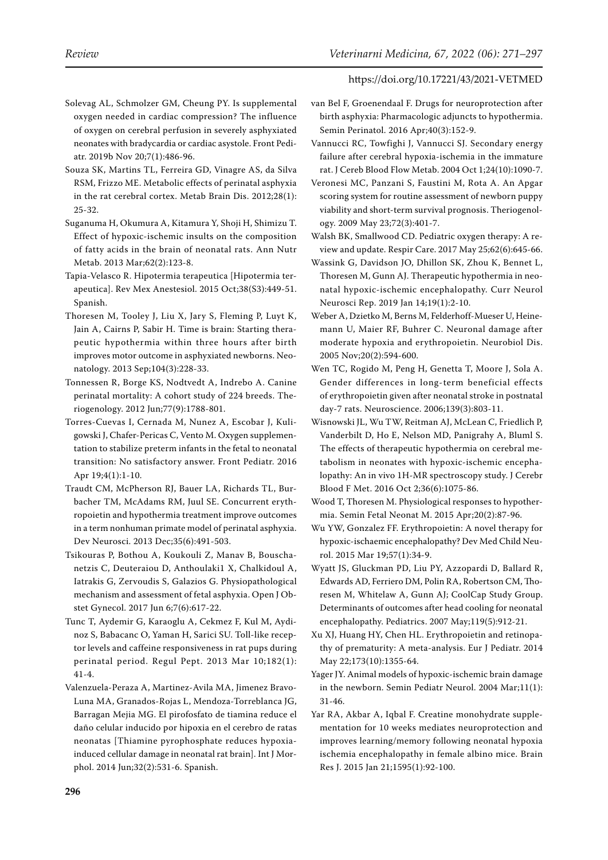- <span id="page-25-5"></span>Solevag AL, Schmolzer GM, Cheung PY. Is supplemental oxygen needed in cardiac compression? The influence of oxygen on cerebral perfusion in severely asphyxiated neonates with bradycardia or cardiac asystole. Front Pediatr. 2019b Nov 20;7(1):486-96.
- <span id="page-25-20"></span>Souza SK, Martins TL, Ferreira GD, Vinagre AS, da Silva RSM, Frizzo ME. Metabolic effects of perinatal asphyxia in the rat cerebral cortex. Metab Brain Dis. 2012;28(1): 25-32.
- <span id="page-25-22"></span>Suganuma H, Okumura A, Kitamura Y, Shoji H, Shimizu T. Effect of hypoxic-ischemic insults on the composition of fatty acids in the brain of neonatal rats. Ann Nutr Metab. 2013 Mar;62(2):123-8.
- <span id="page-25-11"></span>Tapia-Velasco R. Hipotermia terapeutica [Hipotermia terapeutica]. Rev Mex Anestesiol. 2015 Oct;38(S3):449-51. Spanish.
- <span id="page-25-8"></span>Thoresen M, Tooley J, Liu X, Jary S, Fleming P, Luyt K, Jain A, Cairns P, Sabir H. Time is brain: Starting therapeutic hypothermia within three hours after birth improves motor outcome in asphyxiated newborns. Neonatology. 2013 Sep;104(3):228-33.
- <span id="page-25-1"></span>Tonnessen R, Borge KS, Nodtvedt A, Indrebo A. Canine perinatal mortality: A cohort study of 224 breeds. Theriogenology. 2012 Jun;77(9):1788-801.
- <span id="page-25-6"></span>Torres-Cuevas I, Cernada M, Nunez A, Escobar J, Kuligowski J, Chafer-Pericas C, Vento M. Oxygen supplementation to stabilize preterm infants in the fetal to neonatal transition: No satisfactory answer. Front Pediatr. 2016 Apr 19;4(1):1-10.
- <span id="page-25-16"></span>Traudt CM, McPherson RJ, Bauer LA, Richards TL, Burbacher TM, McAdams RM, Juul SE. Concurrent erythropoietin and hypothermia treatment improve outcomes in a term nonhuman primate model of perinatal asphyxia. Dev Neurosci. 2013 Dec;35(6):491-503.
- <span id="page-25-2"></span>Tsikouras P, Bothou A, Koukouli Z, Manav B, Bouschanetzis C, Deuteraiou D, Anthoulaki1 X, Chalkidoul A, Iatrakis G, Zervoudis S, Galazios G. Physiopathological mechanism and assessment of fetal asphyxia. Open J Obstet Gynecol. 2017 Jun 6;7(6):617-22.
- <span id="page-25-7"></span>Tunc T, Aydemir G, Karaoglu A, Cekmez F, Kul M, Aydinoz S, Babacanc O, Yaman H, Sarici SU. Toll-like receptor levels and caffeine responsiveness in rat pups during perinatal period. Regul Pept. 2013 Mar 10;182(1): 41-4.
- <span id="page-25-21"></span>Valenzuela-Peraza A, Martinez-Avila MA, Jimenez Bravo-Luna MA, Granados-Rojas L, Mendoza-Torreblanca JG, Barragan Mejia MG. El pirofosfato de tiamina reduce el daño celular inducido por hipoxia en el cerebro de ratas neonatas [Thiamine pyrophosphate reduces hypoxiainduced cellular damage in neonatal rat brain]. Int J Morphol. 2014 Jun;32(2):531-6. Spanish.
- <span id="page-25-14"></span>van Bel F, Groenendaal F. Drugs for neuroprotection after birth asphyxia: Pharmacologic adjuncts to hypothermia. Semin Perinatol. 2016 Apr;40(3):152-9.
- <span id="page-25-3"></span>Vannucci RC, Towfighi J, Vannucci SJ. Secondary energy failure after cerebral hypoxia-ischemia in the immature rat. J Cereb Blood Flow Metab. 2004 Oct 1;24(10):1090-7.
- <span id="page-25-0"></span>Veronesi MC, Panzani S, Faustini M, Rota A. An Apgar scoring system for routine assessment of newborn puppy viability and short-term survival prognosis. Theriogenology. 2009 May 23;72(3):401-7.
- <span id="page-25-4"></span>Walsh BK, Smallwood CD. Pediatric oxygen therapy: A review and update. Respir Care. 2017 May 25;62(6):645-66.
- <span id="page-25-19"></span>Wassink G, Davidson JO, Dhillon SK, Zhou K, Bennet L, Thoresen M, Gunn AJ. Therapeutic hypothermia in neonatal hypoxic-ischemic encephalopathy. Curr Neurol Neurosci Rep. 2019 Jan 14;19(1):2-10.
- <span id="page-25-17"></span>Weber A, Dzietko M, Berns M, Felderhoff-Mueser U, Heinemann U, Maier RF, Buhrer C. Neuronal damage after moderate hypoxia and erythropoietin. Neurobiol Dis. 2005 Nov;20(2):594-600.
- <span id="page-25-15"></span>Wen TC, Rogido M, Peng H, Genetta T, Moore J, Sola A. Gender differences in long-term beneficial effects of erythropoietin given after neonatal stroke in postnatal day-7 rats. Neuroscience. 2006;139(3):803-11.
- <span id="page-25-9"></span>Wisnowski JL, Wu TW, Reitman AJ, McLean C, Friedlich P, Vanderbilt D, Ho E, Nelson MD, Panigrahy A, Bluml S. The effects of therapeutic hypothermia on cerebral metabolism in neonates with hypoxic-ischemic encephalopathy: An in vivo 1H-MR spectroscopy study. J Cerebr Blood F Met. 2016 Oct 2;36(6):1075-86.
- <span id="page-25-10"></span>Wood T, Thoresen M. Physiological responses to hypothermia. Semin Fetal Neonat M. 2015 Apr;20(2):87-96.
- <span id="page-25-13"></span>Wu YW, Gonzalez FF. Erythropoietin: A novel therapy for hypoxic-ischaemic encephalopathy? Dev Med Child Neurol. 2015 Mar 19;57(1):34-9.
- <span id="page-25-12"></span>Wyatt JS, Gluckman PD, Liu PY, Azzopardi D, Ballard R, Edwards AD, Ferriero DM, Polin RA, Robertson CM, Thoresen M, Whitelaw A, Gunn AJ; CoolCap Study Group. Determinants of outcomes after head cooling for neonatal encephalopathy. Pediatrics. 2007 May;119(5):912-21.
- <span id="page-25-18"></span>Xu XJ, Huang HY, Chen HL. Erythropoietin and retinopathy of prematurity: A meta-analysis. Eur J Pediatr. 2014 May 22;173(10):1355-64.
- <span id="page-25-24"></span>Yager JY. Animal models of hypoxic-ischemic brain damage in the newborn. Semin Pediatr Neurol. 2004 Mar;11(1): 31-46.
- <span id="page-25-23"></span>Yar RA, Akbar A, Iqbal F. Creatine monohydrate supplementation for 10 weeks mediates neuroprotection and improves learning/memory following neonatal hypoxia ischemia encephalopathy in female albino mice. Brain Res J. 2015 Jan 21;1595(1):92-100.